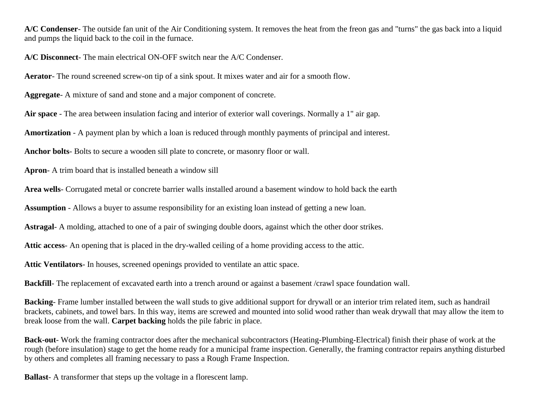**A/C Condenser**- The outside fan unit of the Air Conditioning system. It removes the heat from the freon gas and "turns" the gas back into a liquid and pumps the liquid back to the coil in the furnace.

**A/C Disconnect**- The main electrical ON-OFF switch near the A/C Condenser.

**Aerator**- The round screened screw-on tip of a sink spout. It mixes water and air for a smooth flow.

**Aggregate**- A mixture of sand and stone and a major component of concrete.

**Air space** - The area between insulation facing and interior of exterior wall coverings. Normally a 1" air gap.

**Amortization** - A payment plan by which a loan is reduced through monthly payments of principal and interest.

**Anchor bolts**- Bolts to secure a wooden sill plate to concrete, or masonry floor or wall.

**Apron**- A trim board that is installed beneath a window sill

**Area wells**- Corrugated metal or concrete barrier walls installed around a basement window to hold back the earth

**Assumption** - Allows a buyer to assume responsibility for an existing loan instead of getting a new loan.

**Astragal**- A molding, attached to one of a pair of swinging double doors, against which the other door strikes.

**Attic access**- An opening that is placed in the dry-walled ceiling of a home providing access to the attic.

**Attic Ventilators**- In houses, screened openings provided to ventilate an attic space.

**Backfill**- The replacement of excavated earth into a trench around or against a basement /crawl space foundation wall.

**Backing**- Frame lumber installed between the wall studs to give additional support for drywall or an interior trim related item, such as handrail brackets, cabinets, and towel bars. In this way, items are screwed and mounted into solid wood rather than weak drywall that may allow the item to break loose from the wall. **Carpet backing** holds the pile fabric in place.

**Back-out**- Work the framing contractor does after the mechanical subcontractors (Heating-Plumbing-Electrical) finish their phase of work at the rough (before insulation) stage to get the home ready for a municipal frame inspection. Generally, the framing contractor repairs anything disturbed by others and completes all framing necessary to pass a Rough Frame Inspection.

**Ballast**- A transformer that steps up the voltage in a florescent lamp.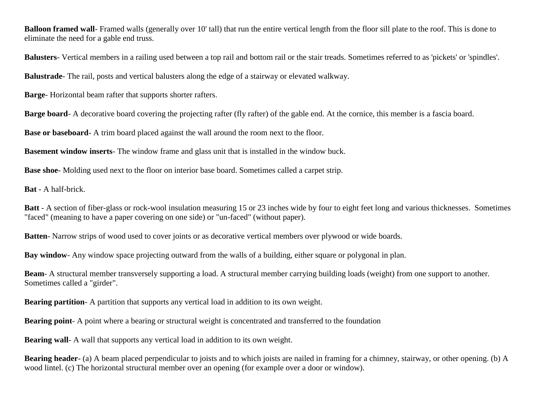**Balloon framed wall-** Framed walls (generally over 10' tall) that run the entire vertical length from the floor sill plate to the roof. This is done to eliminate the need for a gable end truss.

**Balusters**- Vertical members in a railing used between a top rail and bottom rail or the stair treads. Sometimes referred to as 'pickets' or 'spindles'.

**Balustrade**- The rail, posts and vertical balusters along the edge of a stairway or elevated walkway.

**Barge**- Horizontal beam rafter that supports shorter rafters.

**Barge board**- A decorative board covering the projecting rafter (fly rafter) of the gable end. At the cornice, this member is a fascia board.

**Base or baseboard**- A trim board placed against the wall around the room next to the floor.

**Basement window inserts**- The window frame and glass unit that is installed in the window buck.

**Base shoe**- Molding used next to the floor on interior base board. Sometimes called a carpet strip.

**Bat** - A half-brick.

**Batt** - A section of fiber-glass or rock-wool insulation measuring 15 or 23 inches wide by four to eight feet long and various thicknesses. Sometimes "faced" (meaning to have a paper covering on one side) or "un-faced" (without paper).

**Batten**- Narrow strips of wood used to cover joints or as decorative vertical members over plywood or wide boards.

**Bay window**- Any window space projecting outward from the walls of a building, either square or polygonal in plan.

**Beam**- A structural member transversely supporting a load. A structural member carrying building loads (weight) from one support to another. Sometimes called a "girder".

**Bearing partition**- A partition that supports any vertical load in addition to its own weight.

**Bearing point**- A point where a bearing or structural weight is concentrated and transferred to the foundation

**Bearing wall**- A wall that supports any vertical load in addition to its own weight.

**Bearing header-** (a) A beam placed perpendicular to joists and to which joists are nailed in framing for a chimney, stairway, or other opening. (b) A wood lintel. (c) The horizontal structural member over an opening (for example over a door or window).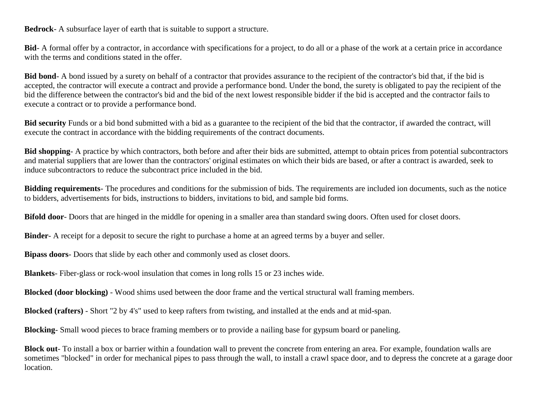**Bedrock**- A subsurface layer of earth that is suitable to support a structure.

**Bid**- A formal offer by a contractor, in accordance with specifications for a project, to do all or a phase of the work at a certain price in accordance with the terms and conditions stated in the offer.

**Bid bond**- A bond issued by a surety on behalf of a contractor that provides assurance to the recipient of the contractor's bid that, if the bid is accepted, the contractor will execute a contract and provide a performance bond. Under the bond, the surety is obligated to pay the recipient of the bid the difference between the contractor's bid and the bid of the next lowest responsible bidder if the bid is accepted and the contractor fails to execute a contract or to provide a performance bond.

**Bid security** Funds or a bid bond submitted with a bid as a guarantee to the recipient of the bid that the contractor, if awarded the contract, will execute the contract in accordance with the bidding requirements of the contract documents.

**Bid shopping**- A practice by which contractors, both before and after their bids are submitted, attempt to obtain prices from potential subcontractors and material suppliers that are lower than the contractors' original estimates on which their bids are based, or after a contract is awarded, seek to induce subcontractors to reduce the subcontract price included in the bid.

**Bidding requirements**- The procedures and conditions for the submission of bids. The requirements are included ion documents, such as the notice to bidders, advertisements for bids, instructions to bidders, invitations to bid, and sample bid forms.

**Bifold door**- Doors that are hinged in the middle for opening in a smaller area than standard swing doors. Often used for closet doors.

**Binder**- A receipt for a deposit to secure the right to purchase a home at an agreed terms by a buyer and seller.

**Bipass doors**- Doors that slide by each other and commonly used as closet doors.

**Blankets**- Fiber-glass or rock-wool insulation that comes in long rolls 15 or 23 inches wide.

**Blocked (door blocking)** - Wood shims used between the door frame and the vertical structural wall framing members.

**Blocked (rafters)** - Short "2 by 4's" used to keep rafters from twisting, and installed at the ends and at mid-span.

**Blocking**- Small wood pieces to brace framing members or to provide a nailing base for gypsum board or paneling.

**Block out**- To install a box or barrier within a foundation wall to prevent the concrete from entering an area. For example, foundation walls are sometimes "blocked" in order for mechanical pipes to pass through the wall, to install a crawl space door, and to depress the concrete at a garage door location.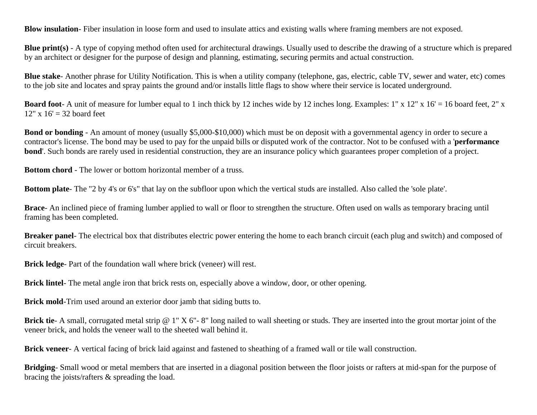**Blow insulation**- Fiber insulation in loose form and used to insulate attics and existing walls where framing members are not exposed.

**Blue print(s)** - A type of copying method often used for architectural drawings. Usually used to describe the drawing of a structure which is prepared by an architect or designer for the purpose of design and planning, estimating, securing permits and actual construction.

**Blue stake**- Another phrase for Utility Notification. This is when a utility company (telephone, gas, electric, cable TV, sewer and water, etc) comes to the job site and locates and spray paints the ground and/or installs little flags to show where their service is located underground.

**Board foot**- A unit of measure for lumber equal to 1 inch thick by 12 inches wide by 12 inches long. Examples:  $1'' \times 12'' \times 16' = 16$  board feet,  $2'' \times 16'$  $12$ " x  $16' = 32$  board feet

**Bond or bonding** - An amount of money (usually \$5,000-\$10,000) which must be on deposit with a governmental agency in order to secure a contractor's license. The bond may be used to pay for the unpaid bills or disputed work of the contractor. Not to be confused with a '**performance bond**'. Such bonds are rarely used in residential construction, they are an insurance policy which guarantees proper completion of a project.

**Bottom chord** - The lower or bottom horizontal member of a truss.

**Bottom plate**- The "2 by 4's or 6's" that lay on the subfloor upon which the vertical studs are installed. Also called the 'sole plate'.

**Brace**- An inclined piece of framing lumber applied to wall or floor to strengthen the structure. Often used on walls as temporary bracing until framing has been completed.

**Breaker panel-** The electrical box that distributes electric power entering the home to each branch circuit (each plug and switch) and composed of circuit breakers.

**Brick ledge**- Part of the foundation wall where brick (veneer) will rest.

**Brick lintel**- The metal angle iron that brick rests on, especially above a window, door, or other opening.

**Brick mold**-Trim used around an exterior door jamb that siding butts to.

**Brick tie**- A small, corrugated metal strip @ 1" X 6"- 8" long nailed to wall sheeting or studs. They are inserted into the grout mortar joint of the veneer brick, and holds the veneer wall to the sheeted wall behind it.

**Brick veneer**- A vertical facing of brick laid against and fastened to sheathing of a framed wall or tile wall construction.

**Bridging**- Small wood or metal members that are inserted in a diagonal position between the floor joists or rafters at mid-span for the purpose of bracing the joists/rafters & spreading the load.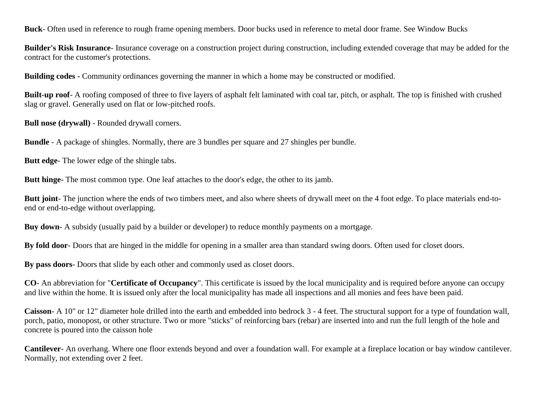**Buck**- Often used in reference to rough frame opening members. Door bucks used in reference to metal door frame. See Window Bucks

**Builder's Risk Insurance**- Insurance coverage on a construction project during construction, including extended coverage that may be added for the contract for the customer's protections.

**Building codes -** Community ordinances governing the manner in which a home may be constructed or modified.

**Built-up roof**- A roofing composed of three to five layers of asphalt felt laminated with coal tar, pitch, or asphalt. The top is finished with crushed slag or gravel. Generally used on flat or low-pitched roofs.

**Bull nose (drywall)** - Rounded drywall corners.

**Bundle** - A package of shingles. Normally, there are 3 bundles per square and 27 shingles per bundle.

**Butt edge**- The lower edge of the shingle tabs.

**Butt hinge-** The most common type. One leaf attaches to the door's edge, the other to its jamb.

**Butt joint**- The junction where the ends of two timbers meet, and also where sheets of drywall meet on the 4 foot edge. To place materials end-toend or end-to-edge without overlapping.

**Buy down**- A subsidy (usually paid by a builder or developer) to reduce monthly payments on a mortgage.

**By fold door**- Doors that are hinged in the middle for opening in a smaller area than standard swing doors. Often used for closet doors.

**By pass doors**- Doors that slide by each other and commonly used as closet doors.

**CO**- An abbreviation for "**Certificate of Occupancy**". This certificate is issued by the local municipality and is required before anyone can occupy and live within the home. It is issued only after the local municipality has made all inspections and all monies and fees have been paid.

**Caisson**- A 10" or 12" diameter hole drilled into the earth and embedded into bedrock 3 - 4 feet. The structural support for a type of foundation wall, porch, patio, monopost, or other structure. Two or more "sticks" of reinforcing bars (rebar) are inserted into and run the full length of the hole and concrete is poured into the caisson hole

**Cantilever**- An overhang. Where one floor extends beyond and over a foundation wall. For example at a fireplace location or bay window cantilever. Normally, not extending over 2 feet.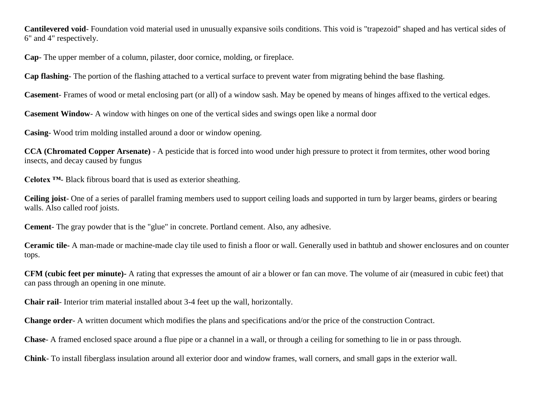**Cantilevered void**- Foundation void material used in unusually expansive soils conditions. This void is "trapezoid" shaped and has vertical sides of 6" and 4" respectively.

**Cap**- The upper member of a column, pilaster, door cornice, molding, or fireplace.

**Cap flashing**- The portion of the flashing attached to a vertical surface to prevent water from migrating behind the base flashing.

**Casement**- Frames of wood or metal enclosing part (or all) of a window sash. May be opened by means of hinges affixed to the vertical edges.

**Casement Window**- A window with hinges on one of the vertical sides and swings open like a normal door

**Casing**- Wood trim molding installed around a door or window opening.

**CCA (Chromated Copper Arsenate)** - A pesticide that is forced into wood under high pressure to protect it from termites, other wood boring insects, and decay caused by fungus

**Celotex ™**- Black fibrous board that is used as exterior sheathing.

**Ceiling joist**- One of a series of parallel framing members used to support ceiling loads and supported in turn by larger beams, girders or bearing walls. Also called roof joists.

**Cement**- The gray powder that is the "glue" in concrete. Portland cement. Also, any adhesive.

**Ceramic tile-** A man-made or machine-made clay tile used to finish a floor or wall. Generally used in bathtub and shower enclosures and on counter tops.

**CFM (cubic feet per minute)-** A rating that expresses the amount of air a blower or fan can move. The volume of air (measured in cubic feet) that can pass through an opening in one minute.

**Chair rail**- Interior trim material installed about 3-4 feet up the wall, horizontally.

**Change order**- A written document which modifies the plans and specifications and/or the price of the construction Contract.

**Chase**- A framed enclosed space around a flue pipe or a channel in a wall, or through a ceiling for something to lie in or pass through.

**Chink**- To install fiberglass insulation around all exterior door and window frames, wall corners, and small gaps in the exterior wall.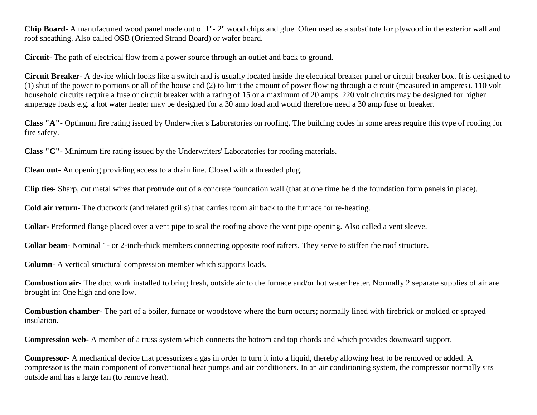**Chip Board**- A manufactured wood panel made out of 1"- 2" wood chips and glue. Often used as a substitute for plywood in the exterior wall and roof sheathing. Also called OSB (Oriented Strand Board) or wafer board.

**Circuit**- The path of electrical flow from a power source through an outlet and back to ground.

**Circuit Breaker**- A device which looks like a switch and is usually located inside the electrical breaker panel or circuit breaker box. It is designed to (1) shut of the power to portions or all of the house and (2) to limit the amount of power flowing through a circuit (measured in amperes). 110 volt household circuits require a fuse or circuit breaker with a rating of 15 or a maximum of 20 amps. 220 volt circuits may be designed for higher amperage loads e.g. a hot water heater may be designed for a 30 amp load and would therefore need a 30 amp fuse or breaker.

**Class "A"**- Optimum fire rating issued by Underwriter's Laboratories on roofing. The building codes in some areas require this type of roofing for fire safety.

**Class "C"**- Minimum fire rating issued by the Underwriters' Laboratories for roofing materials.

**Clean out**- An opening providing access to a drain line. Closed with a threaded plug.

**Clip ties**- Sharp, cut metal wires that protrude out of a concrete foundation wall (that at one time held the foundation form panels in place).

**Cold air return**- The ductwork (and related grills) that carries room air back to the furnace for re-heating.

**Collar**- Preformed flange placed over a vent pipe to seal the roofing above the vent pipe opening. Also called a vent sleeve.

**Collar beam**- Nominal 1- or 2-inch-thick members connecting opposite roof rafters. They serve to stiffen the roof structure.

**Column**- A vertical structural compression member which supports loads.

**Combustion air**- The duct work installed to bring fresh, outside air to the furnace and/or hot water heater. Normally 2 separate supplies of air are brought in: One high and one low.

**Combustion chamber**- The part of a boiler, furnace or woodstove where the burn occurs; normally lined with firebrick or molded or sprayed insulation.

**Compression web**- A member of a truss system which connects the bottom and top chords and which provides downward support.

**Compressor**- A mechanical device that pressurizes a gas in order to turn it into a liquid, thereby allowing heat to be removed or added. A compressor is the main component of conventional heat pumps and air conditioners. In an air conditioning system, the compressor normally sits outside and has a large fan (to remove heat).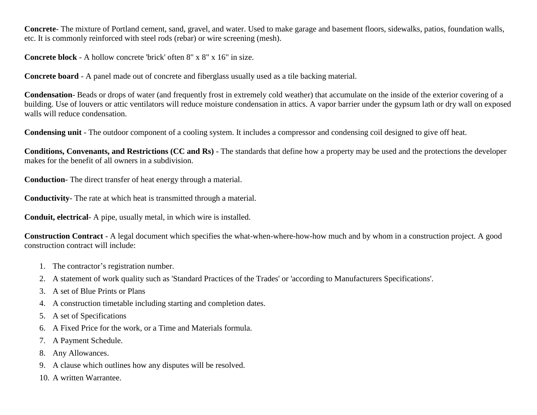**Concrete**- The mixture of Portland cement, sand, gravel, and water. Used to make garage and basement floors, sidewalks, patios, foundation walls, etc. It is commonly reinforced with steel rods (rebar) or wire screening (mesh).

**Concrete block** - A hollow concrete 'brick' often 8" x 8" x 16" in size.

**Concrete board** - A panel made out of concrete and fiberglass usually used as a tile backing material.

**Condensation**- Beads or drops of water (and frequently frost in extremely cold weather) that accumulate on the inside of the exterior covering of a building. Use of louvers or attic ventilators will reduce moisture condensation in attics. A vapor barrier under the gypsum lath or dry wall on exposed walls will reduce condensation.

**Condensing unit** - The outdoor component of a cooling system. It includes a compressor and condensing coil designed to give off heat.

**Conditions, Convenants, and Restrictions (CC and Rs)** - The standards that define how a property may be used and the protections the developer makes for the benefit of all owners in a subdivision.

**Conduction**- The direct transfer of heat energy through a material.

**Conductivity**- The rate at which heat is transmitted through a material.

**Conduit, electrical**- A pipe, usually metal, in which wire is installed.

**Construction Contract** - A legal document which specifies the what-when-where-how-how much and by whom in a construction project. A good construction contract will include:

- 1. The contractor's registration number.
- 2. A statement of work quality such as 'Standard Practices of the Trades' or 'according to Manufacturers Specifications'.
- 3. A set of Blue Prints or Plans
- 4. A construction timetable including starting and completion dates.
- 5. A set of Specifications
- 6. A Fixed Price for the work, or a Time and Materials formula.
- 7. A Payment Schedule.
- 8. Any Allowances.
- 9. A clause which outlines how any disputes will be resolved.
- 10. A written Warrantee.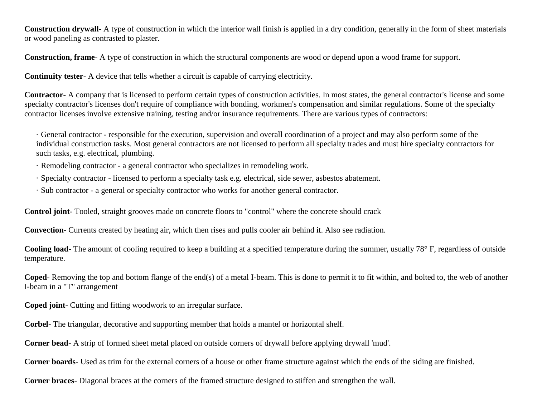**Construction drywall**- A type of construction in which the interior wall finish is applied in a dry condition, generally in the form of sheet materials or wood paneling as contrasted to plaster.

**Construction, frame**- A type of construction in which the structural components are wood or depend upon a wood frame for support.

**Continuity tester**- A device that tells whether a circuit is capable of carrying electricity.

**Contractor**- A company that is licensed to perform certain types of construction activities. In most states, the general contractor's license and some specialty contractor's licenses don't require of compliance with bonding, workmen's compensation and similar regulations. Some of the specialty contractor licenses involve extensive training, testing and/or insurance requirements. There are various types of contractors:

· General contractor - responsible for the execution, supervision and overall coordination of a project and may also perform some of the individual construction tasks. Most general contractors are not licensed to perform all specialty trades and must hire specialty contractors for such tasks, e.g. electrical, plumbing.

- · Remodeling contractor a general contractor who specializes in remodeling work.
- · Specialty contractor licensed to perform a specialty task e.g. electrical, side sewer, asbestos abatement.
- · Sub contractor a general or specialty contractor who works for another general contractor.

**Control joint**- Tooled, straight grooves made on concrete floors to "control" where the concrete should crack

**Convection**- Currents created by heating air, which then rises and pulls cooler air behind it. Also see radiation.

**Cooling load**- The amount of cooling required to keep a building at a specified temperature during the summer, usually 78° F, regardless of outside temperature.

**Coped**- Removing the top and bottom flange of the end(s) of a metal I-beam. This is done to permit it to fit within, and bolted to, the web of another I-beam in a "T" arrangement

**Coped joint**- Cutting and fitting woodwork to an irregular surface.

**Corbel**- The triangular, decorative and supporting member that holds a mantel or horizontal shelf.

**Corner bead**- A strip of formed sheet metal placed on outside corners of drywall before applying drywall 'mud'.

**Corner boards**- Used as trim for the external corners of a house or other frame structure against which the ends of the siding are finished.

**Corner braces**- Diagonal braces at the corners of the framed structure designed to stiffen and strengthen the wall.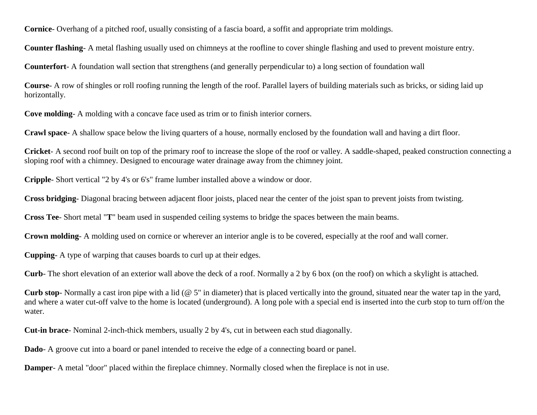**Cornice**- Overhang of a pitched roof, usually consisting of a fascia board, a soffit and appropriate trim moldings.

**Counter flashing**- A metal flashing usually used on chimneys at the roofline to cover shingle flashing and used to prevent moisture entry.

**Counterfort**- A foundation wall section that strengthens (and generally perpendicular to) a long section of foundation wall

**Course**- A row of shingles or roll roofing running the length of the roof. Parallel layers of building materials such as bricks, or siding laid up horizontally.

**Cove molding**- A molding with a concave face used as trim or to finish interior corners.

**Crawl space**- A shallow space below the living quarters of a house, normally enclosed by the foundation wall and having a dirt floor.

**Cricket**- A second roof built on top of the primary roof to increase the slope of the roof or valley. A saddle-shaped, peaked construction connecting a sloping roof with a chimney. Designed to encourage water drainage away from the chimney joint.

**Cripple**- Short vertical "2 by 4's or 6's" frame lumber installed above a window or door.

**Cross bridging**- Diagonal bracing between adjacent floor joists, placed near the center of the joist span to prevent joists from twisting.

**Cross Tee**- Short metal "**T**" beam used in suspended ceiling systems to bridge the spaces between the main beams.

**Crown molding**- A molding used on cornice or wherever an interior angle is to be covered, especially at the roof and wall corner.

**Cupping**- A type of warping that causes boards to curl up at their edges.

**Curb**- The short elevation of an exterior wall above the deck of a roof. Normally a 2 by 6 box (on the roof) on which a skylight is attached.

**Curb stop**- Normally a cast iron pipe with a lid (@ 5" in diameter) that is placed vertically into the ground, situated near the water tap in the yard, and where a water cut-off valve to the home is located (underground). A long pole with a special end is inserted into the curb stop to turn off/on the water.

**Cut-in brace**- Nominal 2-inch-thick members, usually 2 by 4's, cut in between each stud diagonally.

**Dado**- A groove cut into a board or panel intended to receive the edge of a connecting board or panel.

**Damper**- A metal "door" placed within the fireplace chimney. Normally closed when the fireplace is not in use.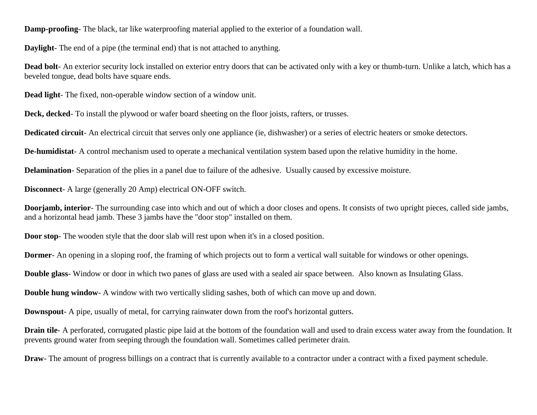**Damp-proofing**- The black, tar like waterproofing material applied to the exterior of a foundation wall.

**Daylight**- The end of a pipe (the terminal end) that is not attached to anything.

**Dead bolt**- An exterior security lock installed on exterior entry doors that can be activated only with a key or thumb-turn. Unlike a latch, which has a beveled tongue, dead bolts have square ends.

**Dead light**- The fixed, non-operable window section of a window unit.

**Deck, decked**- To install the plywood or wafer board sheeting on the floor joists, rafters, or trusses.

**Dedicated circuit**- An electrical circuit that serves only one appliance (ie, dishwasher) or a series of electric heaters or smoke detectors.

**De-humidistat**- A control mechanism used to operate a mechanical ventilation system based upon the relative humidity in the home.

**Delamination**- Separation of the plies in a panel due to failure of the adhesive. Usually caused by excessive moisture.

**Disconnect**- A large (generally 20 Amp) electrical ON-OFF switch.

**Doorjamb, interior**- The surrounding case into which and out of which a door closes and opens. It consists of two upright pieces, called side jambs, and a horizontal head jamb. These 3 jambs have the "door stop" installed on them.

**Door stop**- The wooden style that the door slab will rest upon when it's in a closed position.

**Dormer**- An opening in a sloping roof, the framing of which projects out to form a vertical wall suitable for windows or other openings.

**Double glass**- Window or door in which two panes of glass are used with a sealed air space between. Also known as Insulating Glass.

**Double hung window**- A window with two vertically sliding sashes, both of which can move up and down.

**Downspout**- A pipe, usually of metal, for carrying rainwater down from the roof's horizontal gutters.

**Drain tile**- A perforated, corrugated plastic pipe laid at the bottom of the foundation wall and used to drain excess water away from the foundation. It prevents ground water from seeping through the foundation wall. Sometimes called perimeter drain.

**Draw**- The amount of progress billings on a contract that is currently available to a contractor under a contract with a fixed payment schedule.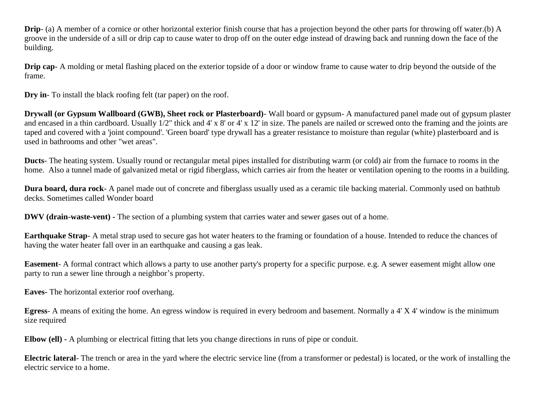**Drip**- (a) A member of a cornice or other horizontal exterior finish course that has a projection beyond the other parts for throwing off water.(b) A groove in the underside of a sill or drip cap to cause water to drop off on the outer edge instead of drawing back and running down the face of the building.

**Drip cap-** A molding or metal flashing placed on the exterior topside of a door or window frame to cause water to drip beyond the outside of the frame.

**Dry in-** To install the black roofing felt (tar paper) on the roof.

**Drywall (or Gypsum Wallboard (GWB), Sheet rock or Plasterboard)**- Wall board or gypsum- A manufactured panel made out of gypsum plaster and encased in a thin cardboard. Usually 1/2" thick and 4' x 8' or 4' x 12' in size. The panels are nailed or screwed onto the framing and the joints are taped and covered with a 'joint compound'. 'Green board' type drywall has a greater resistance to moisture than regular (white) plasterboard and is used in bathrooms and other "wet areas".

**Ducts**- The heating system. Usually round or rectangular metal pipes installed for distributing warm (or cold) air from the furnace to rooms in the home. Also a tunnel made of galvanized metal or rigid fiberglass, which carries air from the heater or ventilation opening to the rooms in a building.

**Dura board, dura rock**- A panel made out of concrete and fiberglass usually used as a ceramic tile backing material. Commonly used on bathtub decks. Sometimes called Wonder board

**DWV (drain-waste-vent) -** The section of a plumbing system that carries water and sewer gases out of a home.

**Earthquake Strap**- A metal strap used to secure gas hot water heaters to the framing or foundation of a house. Intended to reduce the chances of having the water heater fall over in an earthquake and causing a gas leak.

**Easement**- A formal contract which allows a party to use another party's property for a specific purpose. e.g. A sewer easement might allow one party to run a sewer line through a neighbor's property.

**Eaves-** The horizontal exterior roof overhang.

**Egress**- A means of exiting the home. An egress window is required in every bedroom and basement. Normally a 4' X 4' window is the minimum size required

**Elbow (ell) -** A plumbing or electrical fitting that lets you change directions in runs of pipe or conduit.

**Electric lateral**- The trench or area in the yard where the electric service line (from a transformer or pedestal) is located, or the work of installing the electric service to a home.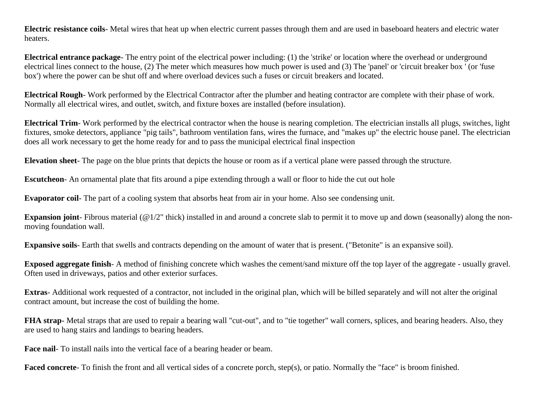**Electric resistance coils**- Metal wires that heat up when electric current passes through them and are used in baseboard heaters and electric water heaters.

**Electrical entrance package**- The entry point of the electrical power including: (1) the 'strike' or location where the overhead or underground electrical lines connect to the house, (2) The meter which measures how much power is used and (3) The 'panel' or 'circuit breaker box ' (or 'fuse box') where the power can be shut off and where overload devices such a fuses or circuit breakers and located.

**Electrical Rough**- Work performed by the Electrical Contractor after the plumber and heating contractor are complete with their phase of work. Normally all electrical wires, and outlet, switch, and fixture boxes are installed (before insulation).

**Electrical Trim**- Work performed by the electrical contractor when the house is nearing completion. The electrician installs all plugs, switches, light fixtures, smoke detectors, appliance "pig tails", bathroom ventilation fans, wires the furnace, and "makes up" the electric house panel. The electrician does all work necessary to get the home ready for and to pass the municipal electrical final inspection

**Elevation sheet**- The page on the blue prints that depicts the house or room as if a vertical plane were passed through the structure.

**Escutcheon**- An ornamental plate that fits around a pipe extending through a wall or floor to hide the cut out hole

**Evaporator coil**- The part of a cooling system that absorbs heat from air in your home. Also see condensing unit.

**Expansion joint**- Fibrous material (@1/2" thick) installed in and around a concrete slab to permit it to move up and down (seasonally) along the nonmoving foundation wall.

**Expansive soils**- Earth that swells and contracts depending on the amount of water that is present. ("Betonite" is an expansive soil).

**Exposed aggregate finish**- A method of finishing concrete which washes the cement/sand mixture off the top layer of the aggregate - usually gravel. Often used in driveways, patios and other exterior surfaces.

**Extras**- Additional work requested of a contractor, not included in the original plan, which will be billed separately and will not alter the original contract amount, but increase the cost of building the home.

**FHA strap**- Metal straps that are used to repair a bearing wall "cut-out", and to "tie together" wall corners, splices, and bearing headers. Also, they are used to hang stairs and landings to bearing headers.

**Face nail**- To install nails into the vertical face of a bearing header or beam.

**Faced concrete**- To finish the front and all vertical sides of a concrete porch, step(s), or patio. Normally the "face" is broom finished.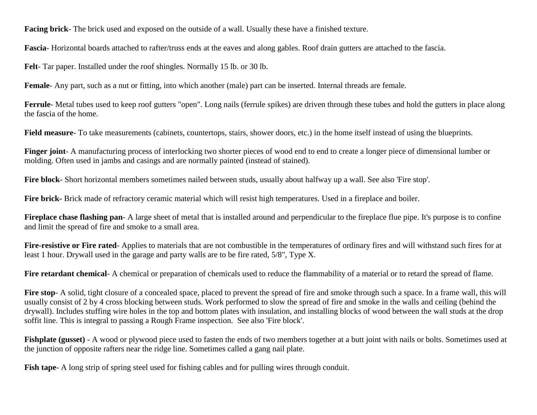**Facing brick**- The brick used and exposed on the outside of a wall. Usually these have a finished texture.

**Fascia**- Horizontal boards attached to rafter/truss ends at the eaves and along gables. Roof drain gutters are attached to the fascia.

**Felt**- Tar paper. Installed under the roof shingles. Normally 15 lb. or 30 lb.

**Female**- Any part, such as a nut or fitting, into which another (male) part can be inserted. Internal threads are female.

Ferrule- Metal tubes used to keep roof gutters "open". Long nails (ferrule spikes) are driven through these tubes and hold the gutters in place along the fascia of the home.

Field measure- To take measurements (cabinets, countertops, stairs, shower doors, etc.) in the home itself instead of using the blueprints.

Finger joint-A manufacturing process of interlocking two shorter pieces of wood end to end to create a longer piece of dimensional lumber or molding. Often used in jambs and casings and are normally painted (instead of stained).

**Fire block-** Short horizontal members sometimes nailed between studs, usually about halfway up a wall. See also 'Fire stop'.

**Fire brick-** Brick made of refractory ceramic material which will resist high temperatures. Used in a fireplace and boiler.

Fireplace chase flashing pan- A large sheet of metal that is installed around and perpendicular to the fireplace flue pipe. It's purpose is to confine and limit the spread of fire and smoke to a small area.

**Fire-resistive or Fire rated**- Applies to materials that are not combustible in the temperatures of ordinary fires and will withstand such fires for at least 1 hour. Drywall used in the garage and party walls are to be fire rated, 5/8", Type X.

Fire retardant chemical- A chemical or preparation of chemicals used to reduce the flammability of a material or to retard the spread of flame.

Fire stop- A solid, tight closure of a concealed space, placed to prevent the spread of fire and smoke through such a space. In a frame wall, this will usually consist of 2 by 4 cross blocking between studs. Work performed to slow the spread of fire and smoke in the walls and ceiling (behind the drywall). Includes stuffing wire holes in the top and bottom plates with insulation, and installing blocks of wood between the wall studs at the drop soffit line. This is integral to passing a Rough Frame inspection. See also 'Fire block'.

Fishplate (gusset) - A wood or plywood piece used to fasten the ends of two members together at a butt joint with nails or bolts. Sometimes used at the junction of opposite rafters near the ridge line. Sometimes called a gang nail plate.

**Fish tape**- A long strip of spring steel used for fishing cables and for pulling wires through conduit.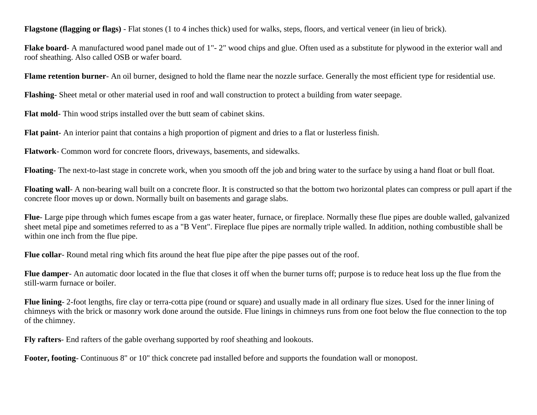**Flagstone (flagging or flags)** - Flat stones (1 to 4 inches thick) used for walks, steps, floors, and vertical veneer (in lieu of brick).

**Flake board**- A manufactured wood panel made out of 1"- 2" wood chips and glue. Often used as a substitute for plywood in the exterior wall and roof sheathing. Also called OSB or wafer board.

**Flame retention burner**- An oil burner, designed to hold the flame near the nozzle surface. Generally the most efficient type for residential use.

**Flashing**- Sheet metal or other material used in roof and wall construction to protect a building from water seepage.

**Flat mold**- Thin wood strips installed over the butt seam of cabinet skins.

**Flat paint**- An interior paint that contains a high proportion of pigment and dries to a flat or lusterless finish.

**Flatwork**- Common word for concrete floors, driveways, basements, and sidewalks.

**Floating**- The next-to-last stage in concrete work, when you smooth off the job and bring water to the surface by using a hand float or bull float.

**Floating wall**- A non-bearing wall built on a concrete floor. It is constructed so that the bottom two horizontal plates can compress or pull apart if the concrete floor moves up or down. Normally built on basements and garage slabs.

**Flue**- Large pipe through which fumes escape from a gas water heater, furnace, or fireplace. Normally these flue pipes are double walled, galvanized sheet metal pipe and sometimes referred to as a "B Vent". Fireplace flue pipes are normally triple walled. In addition, nothing combustible shall be within one inch from the flue pipe.

**Flue collar-** Round metal ring which fits around the heat flue pipe after the pipe passes out of the roof.

**Flue damper**- An automatic door located in the flue that closes it off when the burner turns off; purpose is to reduce heat loss up the flue from the still-warm furnace or boiler.

**Flue lining**- 2-foot lengths, fire clay or terra-cotta pipe (round or square) and usually made in all ordinary flue sizes. Used for the inner lining of chimneys with the brick or masonry work done around the outside. Flue linings in chimneys runs from one foot below the flue connection to the top of the chimney.

**Fly rafters**- End rafters of the gable overhang supported by roof sheathing and lookouts.

**Footer, footing**- Continuous 8" or 10" thick concrete pad installed before and supports the foundation wall or monopost.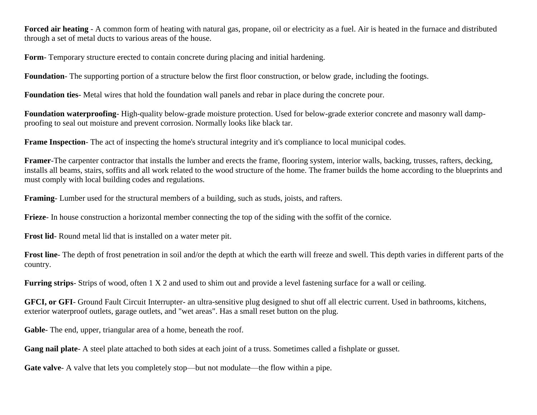**Forced air heating** - A common form of heating with natural gas, propane, oil or electricity as a fuel. Air is heated in the furnace and distributed through a set of metal ducts to various areas of the house.

**Form**- Temporary structure erected to contain concrete during placing and initial hardening.

**Foundation**- The supporting portion of a structure below the first floor construction, or below grade, including the footings.

**Foundation ties**- Metal wires that hold the foundation wall panels and rebar in place during the concrete pour.

**Foundation waterproofing**- High-quality below-grade moisture protection. Used for below-grade exterior concrete and masonry wall dampproofing to seal out moisture and prevent corrosion. Normally looks like black tar.

**Frame Inspection**- The act of inspecting the home's structural integrity and it's compliance to local municipal codes.

**Framer**-The carpenter contractor that installs the lumber and erects the frame, flooring system, interior walls, backing, trusses, rafters, decking, installs all beams, stairs, soffits and all work related to the wood structure of the home. The framer builds the home according to the blueprints and must comply with local building codes and regulations.

**Framing**- Lumber used for the structural members of a building, such as studs, joists, and rafters.

**Frieze**- In house construction a horizontal member connecting the top of the siding with the soffit of the cornice.

**Frost lid**- Round metal lid that is installed on a water meter pit.

**Frost line**- The depth of frost penetration in soil and/or the depth at which the earth will freeze and swell. This depth varies in different parts of the country.

**Furring strips**- Strips of wood, often 1 X 2 and used to shim out and provide a level fastening surface for a wall or ceiling.

**GFCI, or GFI**- Ground Fault Circuit Interrupter- an ultra-sensitive plug designed to shut off all electric current. Used in bathrooms, kitchens, exterior waterproof outlets, garage outlets, and "wet areas". Has a small reset button on the plug.

**Gable**- The end, upper, triangular area of a home, beneath the roof.

**Gang nail plate**- A steel plate attached to both sides at each joint of a truss. Sometimes called a fishplate or gusset.

**Gate valve**- A valve that lets you completely stop—but not modulate—the flow within a pipe.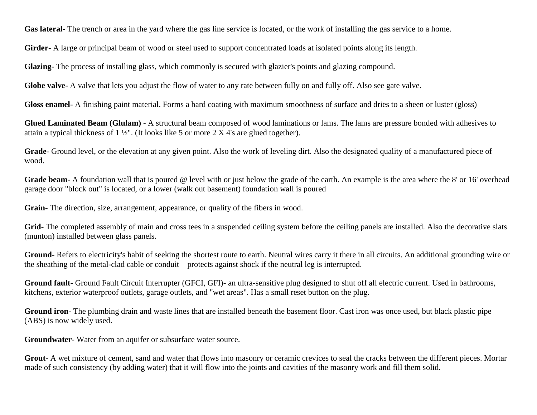**Gas lateral**- The trench or area in the yard where the gas line service is located, or the work of installing the gas service to a home.

**Girder**- A large or principal beam of wood or steel used to support concentrated loads at isolated points along its length.

**Glazing**- The process of installing glass, which commonly is secured with glazier's points and glazing compound.

**Globe valve**- A valve that lets you adjust the flow of water to any rate between fully on and fully off. Also see gate valve.

**Gloss enamel**- A finishing paint material. Forms a hard coating with maximum smoothness of surface and dries to a sheen or luster (gloss)

**Glued Laminated Beam (Glulam)** - A structural beam composed of wood laminations or lams. The lams are pressure bonded with adhesives to attain a typical thickness of  $1\frac{1}{2}$ ". (It looks like 5 or more 2 X 4's are glued together).

**Grade**- Ground level, or the elevation at any given point. Also the work of leveling dirt. Also the designated quality of a manufactured piece of wood.

Grade beam- A foundation wall that is poured @ level with or just below the grade of the earth. An example is the area where the 8' or 16' overhead garage door "block out" is located, or a lower (walk out basement) foundation wall is poured

**Grain**- The direction, size, arrangement, appearance, or quality of the fibers in wood.

Grid- The completed assembly of main and cross tees in a suspended ceiling system before the ceiling panels are installed. Also the decorative slats (munton) installed between glass panels.

**Ground-** Refers to electricity's habit of seeking the shortest route to earth. Neutral wires carry it there in all circuits. An additional grounding wire or the sheathing of the metal-clad cable or conduit—protects against shock if the neutral leg is interrupted.

**Ground fault**- Ground Fault Circuit Interrupter (GFCI, GFI)- an ultra-sensitive plug designed to shut off all electric current. Used in bathrooms, kitchens, exterior waterproof outlets, garage outlets, and "wet areas". Has a small reset button on the plug.

**Ground iron**- The plumbing drain and waste lines that are installed beneath the basement floor. Cast iron was once used, but black plastic pipe (ABS) is now widely used.

**Groundwater**- Water from an aquifer or subsurface water source.

**Grout**- A wet mixture of cement, sand and water that flows into masonry or ceramic crevices to seal the cracks between the different pieces. Mortar made of such consistency (by adding water) that it will flow into the joints and cavities of the masonry work and fill them solid.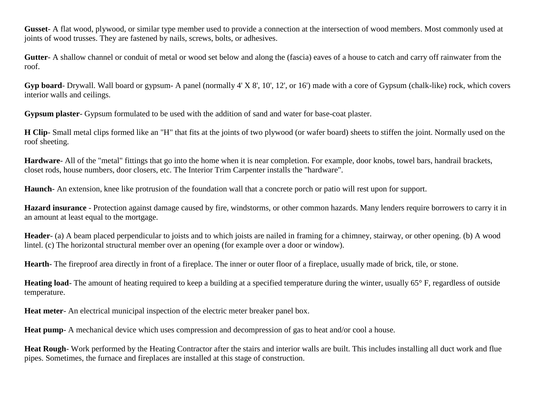**Gusset**- A flat wood, plywood, or similar type member used to provide a connection at the intersection of wood members. Most commonly used at joints of wood trusses. They are fastened by nails, screws, bolts, or adhesives.

**Gutter**- A shallow channel or conduit of metal or wood set below and along the (fascia) eaves of a house to catch and carry off rainwater from the roof.

**Gyp board**- Drywall. Wall board or gypsum- A panel (normally 4' X 8', 10', 12', or 16') made with a core of Gypsum (chalk-like) rock, which covers interior walls and ceilings.

**Gypsum plaster**- Gypsum formulated to be used with the addition of sand and water for base-coat plaster.

**H Clip**- Small metal clips formed like an "H" that fits at the joints of two plywood (or wafer board) sheets to stiffen the joint. Normally used on the roof sheeting.

**Hardware**- All of the "metal" fittings that go into the home when it is near completion. For example, door knobs, towel bars, handrail brackets, closet rods, house numbers, door closers, etc. The Interior Trim Carpenter installs the "hardware".

**Haunch**- An extension, knee like protrusion of the foundation wall that a concrete porch or patio will rest upon for support.

**Hazard insurance** - Protection against damage caused by fire, windstorms, or other common hazards. Many lenders require borrowers to carry it in an amount at least equal to the mortgage.

**Header**- (a) A beam placed perpendicular to joists and to which joists are nailed in framing for a chimney, stairway, or other opening. (b) A wood lintel. (c) The horizontal structural member over an opening (for example over a door or window).

**Hearth**- The fireproof area directly in front of a fireplace. The inner or outer floor of a fireplace, usually made of brick, tile, or stone.

**Heating load**- The amount of heating required to keep a building at a specified temperature during the winter, usually 65° F, regardless of outside temperature.

**Heat meter**- An electrical municipal inspection of the electric meter breaker panel box.

**Heat pump**- A mechanical device which uses compression and decompression of gas to heat and/or cool a house.

**Heat Rough**- Work performed by the Heating Contractor after the stairs and interior walls are built. This includes installing all duct work and flue pipes. Sometimes, the furnace and fireplaces are installed at this stage of construction.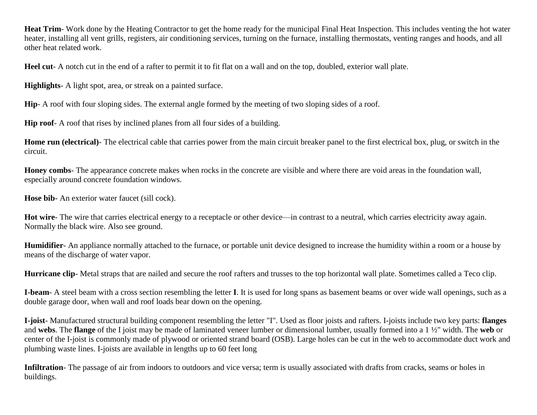**Heat Trim**- Work done by the Heating Contractor to get the home ready for the municipal Final Heat Inspection. This includes venting the hot water heater, installing all vent grills, registers, air conditioning services, turning on the furnace, installing thermostats, venting ranges and hoods, and all other heat related work.

**Heel cut**- A notch cut in the end of a rafter to permit it to fit flat on a wall and on the top, doubled, exterior wall plate.

**Highlights**- A light spot, area, or streak on a painted surface.

**Hip**- A roof with four sloping sides. The external angle formed by the meeting of two sloping sides of a roof.

**Hip roof**- A roof that rises by inclined planes from all four sides of a building.

**Home run (electrical)**- The electrical cable that carries power from the main circuit breaker panel to the first electrical box, plug, or switch in the circuit.

**Honey combs**- The appearance concrete makes when rocks in the concrete are visible and where there are void areas in the foundation wall, especially around concrete foundation windows.

**Hose bib-** An exterior water faucet (sill cock).

**Hot wire**- The wire that carries electrical energy to a receptacle or other device—in contrast to a neutral, which carries electricity away again. Normally the black wire. Also see ground.

**Humidifier**- An appliance normally attached to the furnace, or portable unit device designed to increase the humidity within a room or a house by means of the discharge of water vapor.

**Hurricane clip**- Metal straps that are nailed and secure the roof rafters and trusses to the top horizontal wall plate. Sometimes called a Teco clip.

**I-beam**- A steel beam with a cross section resembling the letter **I**. It is used for long spans as basement beams or over wide wall openings, such as a double garage door, when wall and roof loads bear down on the opening.

**I-joist**- Manufactured structural building component resembling the letter "I". Used as floor joists and rafters. I-joists include two key parts: **flanges**  and **webs**. The **flange** of the I joist may be made of laminated veneer lumber or dimensional lumber, usually formed into a 1 ½" width. The **web** or center of the I-joist is commonly made of plywood or oriented strand board (OSB). Large holes can be cut in the web to accommodate duct work and plumbing waste lines. I-joists are available in lengths up to 60 feet long

**Infiltration**- The passage of air from indoors to outdoors and vice versa; term is usually associated with drafts from cracks, seams or holes in buildings.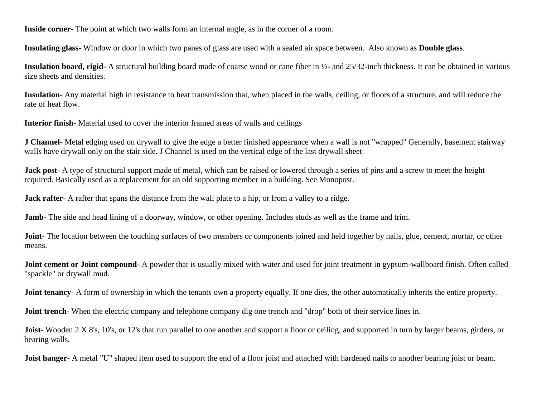**Inside corner**- The point at which two walls form an internal angle, as in the corner of a room.

**Insulating glass**- Window or door in which two panes of glass are used with a sealed air space between. Also known as **Double glass**.

**Insulation board, rigid**- A structural building board made of coarse wood or cane fiber in ½- and 25/32-inch thickness. It can be obtained in various size sheets and densities.

**Insulation**- Any material high in resistance to heat transmission that, when placed in the walls, ceiling, or floors of a structure, and will reduce the rate of heat flow.

**Interior finish**- Material used to cover the interior framed areas of walls and ceilings

**J Channel**- Metal edging used on drywall to give the edge a better finished appearance when a wall is not "wrapped" Generally, basement stairway walls have drywall only on the stair side. J Channel is used on the vertical edge of the last drywall sheet

**Jack post**- A type of structural support made of metal, which can be raised or lowered through a series of pins and a screw to meet the height required. Basically used as a replacement for an old supporting member in a building. See Monopost.

**Jack rafter**- A rafter that spans the distance from the wall plate to a hip, or from a valley to a ridge.

**Jamb**- The side and head lining of a doorway, window, or other opening. Includes studs as well as the frame and trim.

**Joint**- The location between the touching surfaces of two members or components joined and held together by nails, glue, cement, mortar, or other means.

**Joint cement or Joint compound**- A powder that is usually mixed with water and used for joint treatment in gypsum-wallboard finish. Often called "spackle" or drywall mud.

**Joint tenancy**- A form of ownership in which the tenants own a property equally. If one dies, the other automatically inherits the entire property.

**Joint trench**- When the electric company and telephone company dig one trench and "drop" both of their service lines in.

**Joist**- Wooden 2 X 8's, 10's, or 12's that run parallel to one another and support a floor or ceiling, and supported in turn by larger beams, girders, or bearing walls.

**Joist hanger**- A metal "U" shaped item used to support the end of a floor joist and attached with hardened nails to another bearing joist or beam.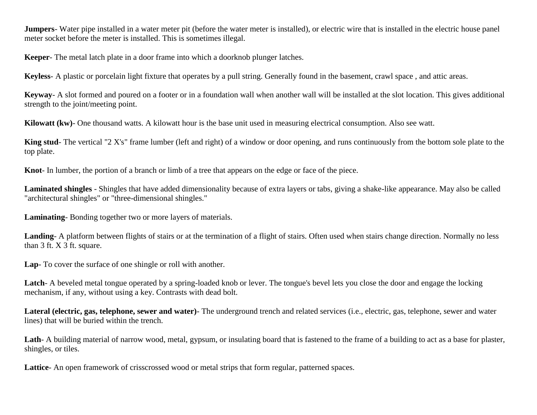**Jumpers**- Water pipe installed in a water meter pit (before the water meter is installed), or electric wire that is installed in the electric house panel meter socket before the meter is installed. This is sometimes illegal.

**Keeper**- The metal latch plate in a door frame into which a doorknob plunger latches.

**Keyless**- A plastic or porcelain light fixture that operates by a pull string. Generally found in the basement, crawl space , and attic areas.

**Keyway**- A slot formed and poured on a footer or in a foundation wall when another wall will be installed at the slot location. This gives additional strength to the joint/meeting point.

**Kilowatt (kw)**- One thousand watts. A kilowatt hour is the base unit used in measuring electrical consumption. Also see watt.

**King stud**- The vertical "2 X's" frame lumber (left and right) of a window or door opening, and runs continuously from the bottom sole plate to the top plate.

**Knot**- In lumber, the portion of a branch or limb of a tree that appears on the edge or face of the piece.

**Laminated shingles** - Shingles that have added dimensionality because of extra layers or tabs, giving a shake-like appearance. May also be called "architectural shingles" or "three-dimensional shingles."

**Laminating**- Bonding together two or more layers of materials.

Landing- A platform between flights of stairs or at the termination of a flight of stairs. Often used when stairs change direction. Normally no less than 3 ft. X 3 ft. square.

**Lap**- To cover the surface of one shingle or roll with another.

**Latch**- A beveled metal tongue operated by a spring-loaded knob or lever. The tongue's bevel lets you close the door and engage the locking mechanism, if any, without using a key. Contrasts with dead bolt.

**Lateral (electric, gas, telephone, sewer and water)**- The underground trench and related services (i.e., electric, gas, telephone, sewer and water lines) that will be buried within the trench.

**Lath**- A building material of narrow wood, metal, gypsum, or insulating board that is fastened to the frame of a building to act as a base for plaster, shingles, or tiles.

**Lattice**- An open framework of crisscrossed wood or metal strips that form regular, patterned spaces.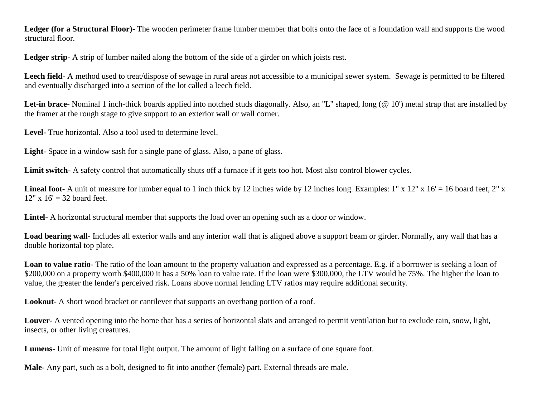**Ledger (for a Structural Floor)**- The wooden perimeter frame lumber member that bolts onto the face of a foundation wall and supports the wood structural floor.

Ledger strip- A strip of lumber nailed along the bottom of the side of a girder on which joists rest.

**Leech field**- A method used to treat/dispose of sewage in rural areas not accessible to a municipal sewer system. Sewage is permitted to be filtered and eventually discharged into a section of the lot called a leech field.

Let-in brace- Nominal 1 inch-thick boards applied into notched studs diagonally. Also, an "L" shaped, long (@ 10') metal strap that are installed by the framer at the rough stage to give support to an exterior wall or wall corner.

**Level-** True horizontal. Also a tool used to determine level.

**Light**- Space in a window sash for a single pane of glass. Also, a pane of glass.

**Limit switch**- A safety control that automatically shuts off a furnace if it gets too hot. Most also control blower cycles.

**Lineal foot**- A unit of measure for lumber equal to 1 inch thick by 12 inches wide by 12 inches long. Examples:  $1'' \times 12'' \times 16' = 16$  board feet,  $2'' \times 16'$  $12"$  x  $16' = 32$  board feet.

**Lintel**- A horizontal structural member that supports the load over an opening such as a door or window.

**Load bearing wall**- Includes all exterior walls and any interior wall that is aligned above a support beam or girder. Normally, any wall that has a double horizontal top plate.

**Loan to value ratio**- The ratio of the loan amount to the property valuation and expressed as a percentage. E.g. if a borrower is seeking a loan of \$200,000 on a property worth \$400,000 it has a 50% loan to value rate. If the loan were \$300,000, the LTV would be 75%. The higher the loan to value, the greater the lender's perceived risk. Loans above normal lending LTV ratios may require additional security.

**Lookout**- A short wood bracket or cantilever that supports an overhang portion of a roof.

**Louver**- A vented opening into the home that has a series of horizontal slats and arranged to permit ventilation but to exclude rain, snow, light, insects, or other living creatures.

**Lumens**- Unit of measure for total light output. The amount of light falling on a surface of one square foot.

**Male**- Any part, such as a bolt, designed to fit into another (female) part. External threads are male.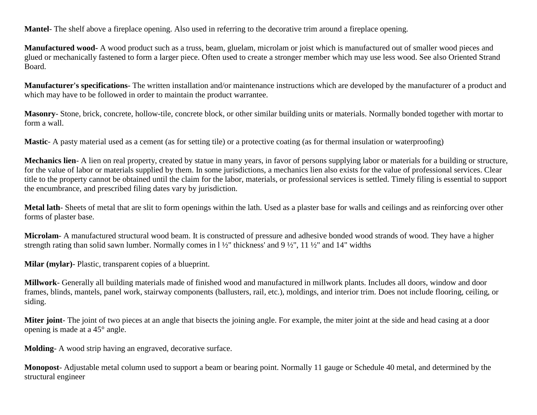**Mantel**- The shelf above a fireplace opening. Also used in referring to the decorative trim around a fireplace opening.

**Manufactured wood-** A wood product such as a truss, beam, gluelam, microlam or joist which is manufactured out of smaller wood pieces and glued or mechanically fastened to form a larger piece. Often used to create a stronger member which may use less wood. See also Oriented Strand Board.

**Manufacturer's specifications**- The written installation and/or maintenance instructions which are developed by the manufacturer of a product and which may have to be followed in order to maintain the product warrantee.

**Masonry**- Stone, brick, concrete, hollow-tile, concrete block, or other similar building units or materials. Normally bonded together with mortar to form a wall.

**Mastic**- A pasty material used as a cement (as for setting tile) or a protective coating (as for thermal insulation or waterproofing)

**Mechanics lien**- A lien on real property, created by statue in many years, in favor of persons supplying labor or materials for a building or structure, for the value of labor or materials supplied by them. In some jurisdictions, a mechanics lien also exists for the value of professional services. Clear title to the property cannot be obtained until the claim for the labor, materials, or professional services is settled. Timely filing is essential to support the encumbrance, and prescribed filing dates vary by jurisdiction.

**Metal lath**- Sheets of metal that are slit to form openings within the lath. Used as a plaster base for walls and ceilings and as reinforcing over other forms of plaster base.

**Microlam**- A manufactured structural wood beam. It is constructed of pressure and adhesive bonded wood strands of wood. They have a higher strength rating than solid sawn lumber. Normally comes in l ½" thickness' and 9 ½", 11 ½" and 14" widths

**Milar (mylar)**- Plastic, transparent copies of a blueprint.

**Millwork**- Generally all building materials made of finished wood and manufactured in millwork plants. Includes all doors, window and door frames, blinds, mantels, panel work, stairway components (ballusters, rail, etc.), moldings, and interior trim. Does not include flooring, ceiling, or siding.

Miter joint- The joint of two pieces at an angle that bisects the joining angle. For example, the miter joint at the side and head casing at a door opening is made at a 45° angle.

**Molding**- A wood strip having an engraved, decorative surface.

**Monopost**- Adjustable metal column used to support a beam or bearing point. Normally 11 gauge or Schedule 40 metal, and determined by the structural engineer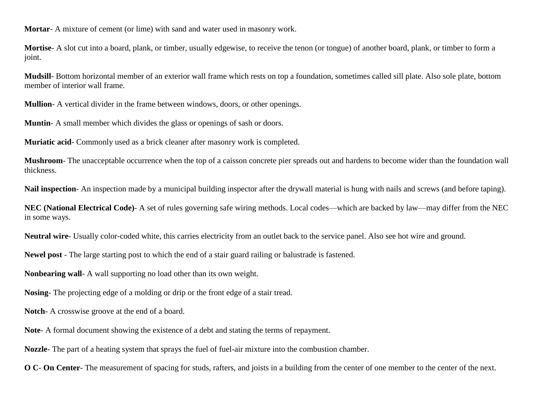**Mortar**- A mixture of cement (or lime) with sand and water used in masonry work.

**Mortise**- A slot cut into a board, plank, or timber, usually edgewise, to receive the tenon (or tongue) of another board, plank, or timber to form a joint.

**Mudsill**- Bottom horizontal member of an exterior wall frame which rests on top a foundation, sometimes called sill plate. Also sole plate, bottom member of interior wall frame.

**Mullion**- A vertical divider in the frame between windows, doors, or other openings.

**Muntin**- A small member which divides the glass or openings of sash or doors.

**Muriatic acid**- Commonly used as a brick cleaner after masonry work is completed.

**Mushroom**- The unacceptable occurrence when the top of a caisson concrete pier spreads out and hardens to become wider than the foundation wall thickness.

**Nail inspection**- An inspection made by a municipal building inspector after the drywall material is hung with nails and screws (and before taping).

**NEC (National Electrical Code)**- A set of rules governing safe wiring methods. Local codes—which are backed by law—may differ from the NEC in some ways.

**Neutral wire**- Usually color-coded white, this carries electricity from an outlet back to the service panel. Also see hot wire and ground.

**Newel post** - The large starting post to which the end of a stair guard railing or balustrade is fastened.

**Nonbearing wall**- A wall supporting no load other than its own weight.

**Nosing**- The projecting edge of a molding or drip or the front edge of a stair tread.

**Notch**- A crosswise groove at the end of a board.

**Note**- A formal document showing the existence of a debt and stating the terms of repayment.

**Nozzle**- The part of a heating system that sprays the fuel of fuel-air mixture into the combustion chamber.

**O C- On Center**- The measurement of spacing for studs, rafters, and joists in a building from the center of one member to the center of the next.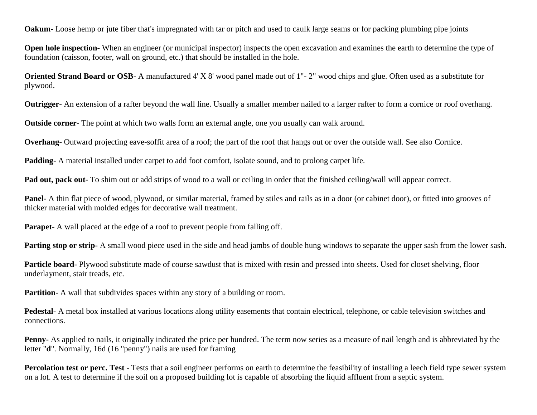**Oakum**- Loose hemp or jute fiber that's impregnated with tar or pitch and used to caulk large seams or for packing plumbing pipe joints

**Open hole inspection**- When an engineer (or municipal inspector) inspects the open excavation and examines the earth to determine the type of foundation (caisson, footer, wall on ground, etc.) that should be installed in the hole.

**Oriented Strand Board or OSB-** A manufactured 4' X 8' wood panel made out of 1"-2" wood chips and glue. Often used as a substitute for plywood.

**Outrigger**- An extension of a rafter beyond the wall line. Usually a smaller member nailed to a larger rafter to form a cornice or roof overhang.

**Outside corner**- The point at which two walls form an external angle, one you usually can walk around.

**Overhang**- Outward projecting eave-soffit area of a roof; the part of the roof that hangs out or over the outside wall. See also Cornice.

**Padding**- A material installed under carpet to add foot comfort, isolate sound, and to prolong carpet life.

**Pad out, pack out**- To shim out or add strips of wood to a wall or ceiling in order that the finished ceiling/wall will appear correct.

**Panel**- A thin flat piece of wood, plywood, or similar material, framed by stiles and rails as in a door (or cabinet door), or fitted into grooves of thicker material with molded edges for decorative wall treatment.

**Parapet**- A wall placed at the edge of a roof to prevent people from falling off.

**Parting stop or strip-** A small wood piece used in the side and head jambs of double hung windows to separate the upper sash from the lower sash.

**Particle board**- Plywood substitute made of course sawdust that is mixed with resin and pressed into sheets. Used for closet shelving, floor underlayment, stair treads, etc.

**Partition**- A wall that subdivides spaces within any story of a building or room.

**Pedestal**- A metal box installed at various locations along utility easements that contain electrical, telephone, or cable television switches and connections.

**Penny**- As applied to nails, it originally indicated the price per hundred. The term now series as a measure of nail length and is abbreviated by the letter "**d**". Normally, 16d (16 "penny") nails are used for framing

**Percolation test or perc. Test** - Tests that a soil engineer performs on earth to determine the feasibility of installing a leech field type sewer system on a lot. A test to determine if the soil on a proposed building lot is capable of absorbing the liquid affluent from a septic system.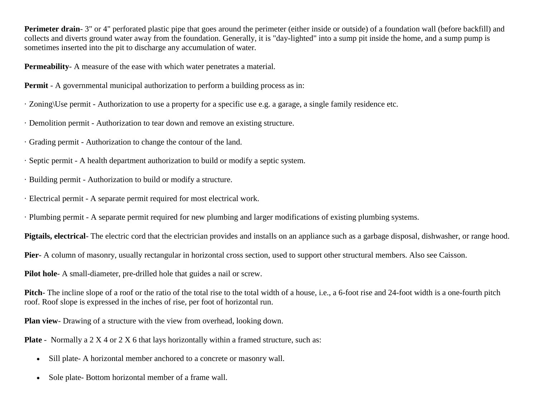**Perimeter drain**-3" or 4" perforated plastic pipe that goes around the perimeter (either inside or outside) of a foundation wall (before backfill) and collects and diverts ground water away from the foundation. Generally, it is "day-lighted" into a sump pit inside the home, and a sump pump is sometimes inserted into the pit to discharge any accumulation of water.

**Permeability**- A measure of the ease with which water penetrates a material.

**Permit** - A governmental municipal authorization to perform a building process as in:

- · Zoning\Use permit Authorization to use a property for a specific use e.g. a garage, a single family residence etc.
- · Demolition permit Authorization to tear down and remove an existing structure.
- · Grading permit Authorization to change the contour of the land.
- · Septic permit A health department authorization to build or modify a septic system.
- · Building permit Authorization to build or modify a structure.
- · Electrical permit A separate permit required for most electrical work.
- · Plumbing permit A separate permit required for new plumbing and larger modifications of existing plumbing systems.

**Pigtails, electrical**- The electric cord that the electrician provides and installs on an appliance such as a garbage disposal, dishwasher, or range hood.

**Pier**- A column of masonry, usually rectangular in horizontal cross section, used to support other structural members. Also see Caisson.

**Pilot hole**- A small-diameter, pre-drilled hole that guides a nail or screw.

**Pitch**- The incline slope of a roof or the ratio of the total rise to the total width of a house, i.e., a 6-foot rise and 24-foot width is a one-fourth pitch roof. Roof slope is expressed in the inches of rise, per foot of horizontal run.

**Plan view**- Drawing of a structure with the view from overhead, looking down.

**Plate** - Normally a 2 X 4 or 2 X 6 that lays horizontally within a framed structure, such as:

- Sill plate- A horizontal member anchored to a concrete or masonry wall.
- Sole plate- Bottom horizontal member of a frame wall.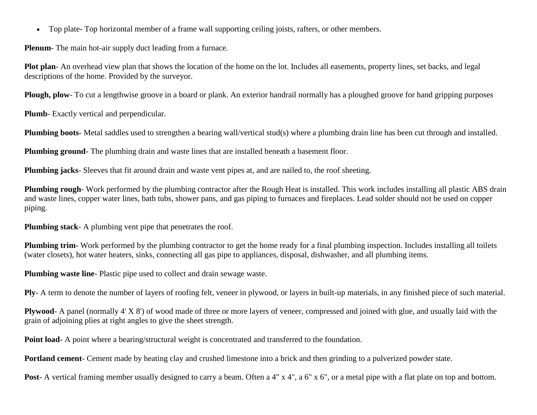Top plate- Top horizontal member of a frame wall supporting ceiling joists, rafters, or other members.

**Plenum**- The main hot-air supply duct leading from a furnace.

**Plot plan**- An overhead view plan that shows the location of the home on the lot. Includes all easements, property lines, set backs, and legal descriptions of the home. Provided by the surveyor.

**Plough, plow**- To cut a lengthwise groove in a board or plank. An exterior handrail normally has a ploughed groove for hand gripping purposes

**Plumb**- Exactly vertical and perpendicular.

**Plumbing boots**- Metal saddles used to strengthen a bearing wall/vertical stud(s) where a plumbing drain line has been cut through and installed.

**Plumbing ground**- The plumbing drain and waste lines that are installed beneath a basement floor.

**Plumbing jacks**- Sleeves that fit around drain and waste vent pipes at, and are nailed to, the roof sheeting.

**Plumbing rough**- Work performed by the plumbing contractor after the Rough Heat is installed. This work includes installing all plastic ABS drain and waste lines, copper water lines, bath tubs, shower pans, and gas piping to furnaces and fireplaces. Lead solder should not be used on copper piping.

**Plumbing stack**- A plumbing vent pipe that penetrates the roof.

**Plumbing trim**- Work performed by the plumbing contractor to get the home ready for a final plumbing inspection. Includes installing all toilets (water closets), hot water heaters, sinks, connecting all gas pipe to appliances, disposal, dishwasher, and all plumbing items.

**Plumbing waste line**- Plastic pipe used to collect and drain sewage waste.

**Ply**- A term to denote the number of layers of roofing felt, veneer in plywood, or layers in built-up materials, in any finished piece of such material.

**Plywood**- A panel (normally 4' X 8') of wood made of three or more layers of veneer, compressed and joined with glue, and usually laid with the grain of adjoining plies at right angles to give the sheet strength.

**Point load-** A point where a bearing/structural weight is concentrated and transferred to the foundation.

**Portland cement**- Cement made by heating clay and crushed limestone into a brick and then grinding to a pulverized powder state.

**Post-** A vertical framing member usually designed to carry a beam. Often a 4" x 4", a 6" x 6", or a metal pipe with a flat plate on top and bottom.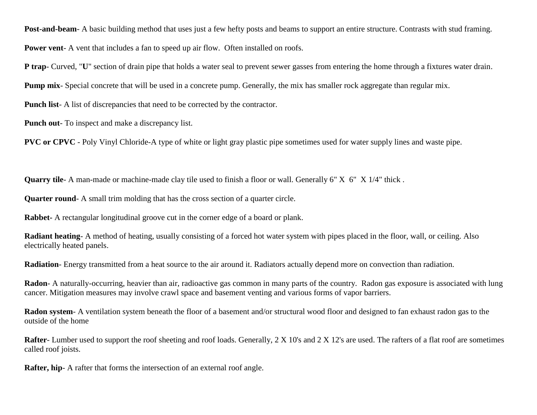**Post-and-beam**- A basic building method that uses just a few hefty posts and beams to support an entire structure. Contrasts with stud framing. **Power vent**- A vent that includes a fan to speed up air flow. Often installed on roofs.

**P trap**- Curved, "**U**" section of drain pipe that holds a water seal to prevent sewer gasses from entering the home through a fixtures water drain.

**Pump mix**- Special concrete that will be used in a concrete pump. Generally, the mix has smaller rock aggregate than regular mix.

**Punch list**- A list of discrepancies that need to be corrected by the contractor.

**Punch out**- To inspect and make a discrepancy list.

**PVC or CPVC** - Poly Vinyl Chloride-A type of white or light gray plastic pipe sometimes used for water supply lines and waste pipe.

**Quarry tile**- A man-made or machine-made clay tile used to finish a floor or wall. Generally 6" X 6" X 1/4" thick.

**Quarter round**- A small trim molding that has the cross section of a quarter circle.

**Rabbet-** A rectangular longitudinal groove cut in the corner edge of a board or plank.

**Radiant heating**- A method of heating, usually consisting of a forced hot water system with pipes placed in the floor, wall, or ceiling. Also electrically heated panels.

**Radiation**- Energy transmitted from a heat source to the air around it. Radiators actually depend more on convection than radiation.

**Radon**- A naturally-occurring, heavier than air, radioactive gas common in many parts of the country. Radon gas exposure is associated with lung cancer. Mitigation measures may involve crawl space and basement venting and various forms of vapor barriers.

**Radon system**- A ventilation system beneath the floor of a basement and/or structural wood floor and designed to fan exhaust radon gas to the outside of the home

**Rafter**- Lumber used to support the roof sheeting and roof loads. Generally, 2 X 10's and 2 X 12's are used. The rafters of a flat roof are sometimes called roof joists.

**Rafter, hip**- A rafter that forms the intersection of an external roof angle.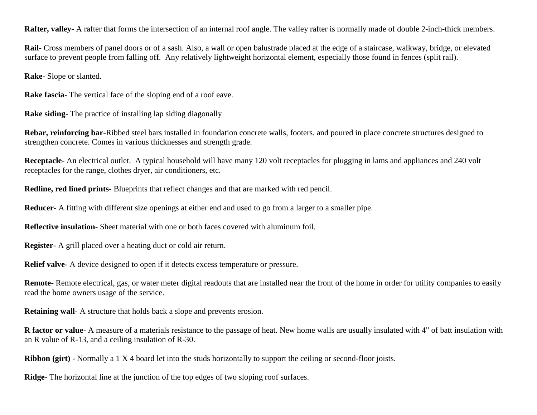**Rafter, valley**- A rafter that forms the intersection of an internal roof angle. The valley rafter is normally made of double 2-inch-thick members.

**Rail**- Cross members of panel doors or of a sash. Also, a wall or open balustrade placed at the edge of a staircase, walkway, bridge, or elevated surface to prevent people from falling off. Any relatively lightweight horizontal element, especially those found in fences (split rail).

**Rake**- Slope or slanted.

**Rake fascia**- The vertical face of the sloping end of a roof eave.

**Rake siding**- The practice of installing lap siding diagonally

**Rebar, reinforcing bar**-Ribbed steel bars installed in foundation concrete walls, footers, and poured in place concrete structures designed to strengthen concrete. Comes in various thicknesses and strength grade.

**Receptacle**- An electrical outlet. A typical household will have many 120 volt receptacles for plugging in lams and appliances and 240 volt receptacles for the range, clothes dryer, air conditioners, etc.

**Redline, red lined prints**- Blueprints that reflect changes and that are marked with red pencil.

**Reducer**- A fitting with different size openings at either end and used to go from a larger to a smaller pipe.

**Reflective insulation**- Sheet material with one or both faces covered with aluminum foil.

**Register**- A grill placed over a heating duct or cold air return.

**Relief valve**- A device designed to open if it detects excess temperature or pressure.

**Remote-** Remote electrical, gas, or water meter digital readouts that are installed near the front of the home in order for utility companies to easily read the home owners usage of the service.

**Retaining wall**- A structure that holds back a slope and prevents erosion.

**R factor or value**- A measure of a materials resistance to the passage of heat. New home walls are usually insulated with 4" of batt insulation with an R value of R-13, and a ceiling insulation of R-30.

**Ribbon (girt)** - Normally a 1 X 4 board let into the studs horizontally to support the ceiling or second-floor joists.

**Ridge**- The horizontal line at the junction of the top edges of two sloping roof surfaces.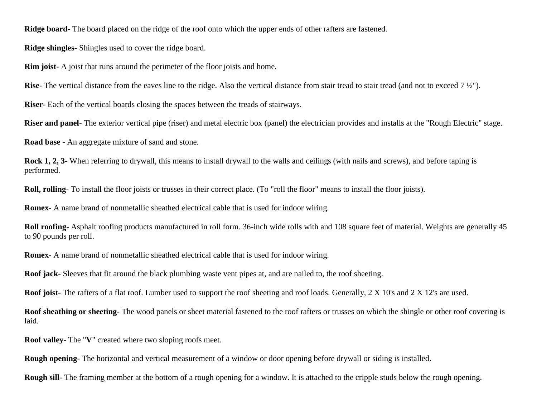**Ridge board**- The board placed on the ridge of the roof onto which the upper ends of other rafters are fastened.

**Ridge shingles**- Shingles used to cover the ridge board.

**Rim joist**- A joist that runs around the perimeter of the floor joists and home.

**Rise**- The vertical distance from the eaves line to the ridge. Also the vertical distance from stair tread to stair tread (and not to exceed 7 ½").

**Riser**- Each of the vertical boards closing the spaces between the treads of stairways.

**Riser and panel**- The exterior vertical pipe (riser) and metal electric box (panel) the electrician provides and installs at the "Rough Electric" stage.

**Road base** - An aggregate mixture of sand and stone.

**Rock 1, 2, 3**- When referring to drywall, this means to install drywall to the walls and ceilings (with nails and screws), and before taping is performed.

**Roll, rolling**- To install the floor joists or trusses in their correct place. (To "roll the floor" means to install the floor joists).

**Romex**- A name brand of nonmetallic sheathed electrical cable that is used for indoor wiring.

**Roll roofing**- Asphalt roofing products manufactured in roll form. 36-inch wide rolls with and 108 square feet of material. Weights are generally 45 to 90 pounds per roll.

**Romex**- A name brand of nonmetallic sheathed electrical cable that is used for indoor wiring.

**Roof jack**- Sleeves that fit around the black plumbing waste vent pipes at, and are nailed to, the roof sheeting.

**Roof joist**- The rafters of a flat roof. Lumber used to support the roof sheeting and roof loads. Generally, 2 X 10's and 2 X 12's are used.

**Roof sheathing or sheeting**- The wood panels or sheet material fastened to the roof rafters or trusses on which the shingle or other roof covering is laid.

**Roof valley**- The "**V**" created where two sloping roofs meet.

**Rough opening**- The horizontal and vertical measurement of a window or door opening before drywall or siding is installed.

**Rough sill**- The framing member at the bottom of a rough opening for a window. It is attached to the cripple studs below the rough opening.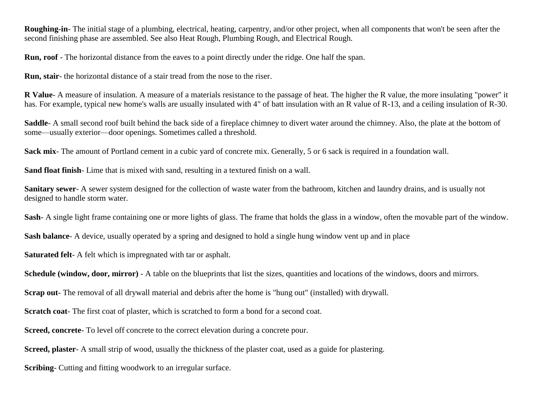**Roughing-in**- The initial stage of a plumbing, electrical, heating, carpentry, and/or other project, when all components that won't be seen after the second finishing phase are assembled. See also Heat Rough, Plumbing Rough, and Electrical Rough.

**Run, roof** - The horizontal distance from the eaves to a point directly under the ridge. One half the span.

**Run, stair**- the horizontal distance of a stair tread from the nose to the riser.

**R Value**- A measure of insulation. A measure of a materials resistance to the passage of heat. The higher the R value, the more insulating "power" it has. For example, typical new home's walls are usually insulated with 4" of batt insulation with an R value of R-13, and a ceiling insulation of R-30.

**Saddle**- A small second roof built behind the back side of a fireplace chimney to divert water around the chimney. Also, the plate at the bottom of some—usually exterior—door openings. Sometimes called a threshold.

**Sack mix**- The amount of Portland cement in a cubic yard of concrete mix. Generally, 5 or 6 sack is required in a foundation wall.

**Sand float finish**- Lime that is mixed with sand, resulting in a textured finish on a wall.

**Sanitary sewer**- A sewer system designed for the collection of waste water from the bathroom, kitchen and laundry drains, and is usually not designed to handle storm water.

**Sash**- A single light frame containing one or more lights of glass. The frame that holds the glass in a window, often the movable part of the window.

**Sash balance**- A device, usually operated by a spring and designed to hold a single hung window vent up and in place

**Saturated felt**- A felt which is impregnated with tar or asphalt.

**Schedule (window, door, mirror)** - A table on the blueprints that list the sizes, quantities and locations of the windows, doors and mirrors.

**Scrap out**- The removal of all drywall material and debris after the home is "hung out" (installed) with drywall.

**Scratch coat**- The first coat of plaster, which is scratched to form a bond for a second coat.

**Screed, concrete**- To level off concrete to the correct elevation during a concrete pour.

**Screed, plaster**- A small strip of wood, usually the thickness of the plaster coat, used as a guide for plastering.

**Scribing**- Cutting and fitting woodwork to an irregular surface.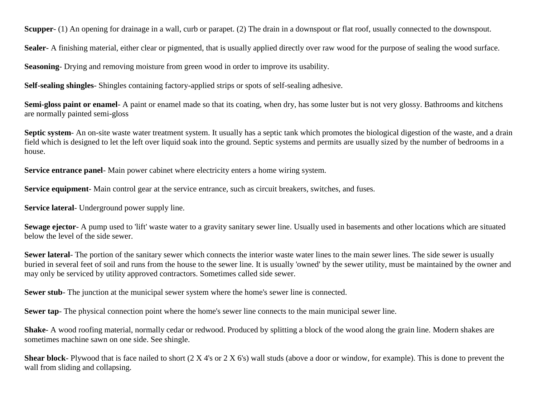**Scupper-** (1) An opening for drainage in a wall, curb or parapet. (2) The drain in a downspout or flat roof, usually connected to the downspout.

Sealer- A finishing material, either clear or pigmented, that is usually applied directly over raw wood for the purpose of sealing the wood surface.

**Seasoning**- Drying and removing moisture from green wood in order to improve its usability.

**Self-sealing shingles**- Shingles containing factory-applied strips or spots of self-sealing adhesive.

**Semi-gloss paint or enamel-** A paint or enamel made so that its coating, when dry, has some luster but is not very glossy. Bathrooms and kitchens are normally painted semi-gloss

**Septic system**- An on-site waste water treatment system. It usually has a septic tank which promotes the biological digestion of the waste, and a drain field which is designed to let the left over liquid soak into the ground. Septic systems and permits are usually sized by the number of bedrooms in a house.

**Service entrance panel**- Main power cabinet where electricity enters a home wiring system.

**Service equipment**- Main control gear at the service entrance, such as circuit breakers, switches, and fuses.

**Service lateral**- Underground power supply line.

**Sewage ejector**- A pump used to 'lift' waste water to a gravity sanitary sewer line. Usually used in basements and other locations which are situated below the level of the side sewer.

**Sewer lateral-** The portion of the sanitary sewer which connects the interior waste water lines to the main sewer lines. The side sewer is usually buried in several feet of soil and runs from the house to the sewer line. It is usually 'owned' by the sewer utility, must be maintained by the owner and may only be serviced by utility approved contractors. Sometimes called side sewer.

**Sewer stub**- The junction at the municipal sewer system where the home's sewer line is connected.

**Sewer tap**- The physical connection point where the home's sewer line connects to the main municipal sewer line.

**Shake**- A wood roofing material, normally cedar or redwood. Produced by splitting a block of the wood along the grain line. Modern shakes are sometimes machine sawn on one side. See shingle.

**Shear block**- Plywood that is face nailed to short (2 X 4's or 2 X 6's) wall studs (above a door or window, for example). This is done to prevent the wall from sliding and collapsing.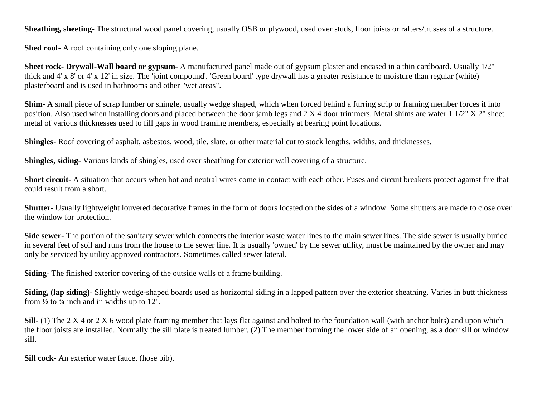**Sheathing, sheeting**- The structural wood panel covering, usually OSB or plywood, used over studs, floor joists or rafters/trusses of a structure.

**Shed roof-** A roof containing only one sloping plane.

**Sheet rock- Drywall-Wall board or gypsum**- A manufactured panel made out of gypsum plaster and encased in a thin cardboard. Usually 1/2" thick and 4' x 8' or 4' x 12' in size. The 'joint compound'. 'Green board' type drywall has a greater resistance to moisture than regular (white) plasterboard and is used in bathrooms and other "wet areas".

**Shim**- A small piece of scrap lumber or shingle, usually wedge shaped, which when forced behind a furring strip or framing member forces it into position. Also used when installing doors and placed between the door jamb legs and 2 X 4 door trimmers. Metal shims are wafer 1 1/2" X 2" sheet metal of various thicknesses used to fill gaps in wood framing members, especially at bearing point locations.

**Shingles**- Roof covering of asphalt, asbestos, wood, tile, slate, or other material cut to stock lengths, widths, and thicknesses.

**Shingles, siding**- Various kinds of shingles, used over sheathing for exterior wall covering of a structure.

**Short circuit**- A situation that occurs when hot and neutral wires come in contact with each other. Fuses and circuit breakers protect against fire that could result from a short.

**Shutter**- Usually lightweight louvered decorative frames in the form of doors located on the sides of a window. Some shutters are made to close over the window for protection.

**Side sewer**- The portion of the sanitary sewer which connects the interior waste water lines to the main sewer lines. The side sewer is usually buried in several feet of soil and runs from the house to the sewer line. It is usually 'owned' by the sewer utility, must be maintained by the owner and may only be serviced by utility approved contractors. Sometimes called sewer lateral.

**Siding**- The finished exterior covering of the outside walls of a frame building.

**Siding, (lap siding)**- Slightly wedge-shaped boards used as horizontal siding in a lapped pattern over the exterior sheathing. Varies in butt thickness from  $\frac{1}{2}$  to  $\frac{3}{4}$  inch and in widths up to 12".

**Sill**- (1) The 2 X 4 or 2 X 6 wood plate framing member that lays flat against and bolted to the foundation wall (with anchor bolts) and upon which the floor joists are installed. Normally the sill plate is treated lumber. (2) The member forming the lower side of an opening, as a door sill or window sill.

**Sill cock**- An exterior water faucet (hose bib).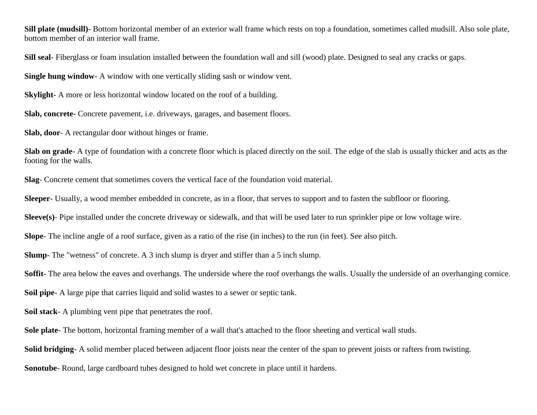**Sill plate (mudsill)**- Bottom horizontal member of an exterior wall frame which rests on top a foundation, sometimes called mudsill. Also sole plate, bottom member of an interior wall frame.

**Sill seal**- Fiberglass or foam insulation installed between the foundation wall and sill (wood) plate. Designed to seal any cracks or gaps.

**Single hung window**- A window with one vertically sliding sash or window vent.

**Skylight**- A more or less horizontal window located on the roof of a building.

**Slab, concrete**- Concrete pavement, i.e. driveways, garages, and basement floors.

**Slab, door**- A rectangular door without hinges or frame.

**Slab on grade**- A type of foundation with a concrete floor which is placed directly on the soil. The edge of the slab is usually thicker and acts as the footing for the walls.

**Slag**- Concrete cement that sometimes covers the vertical face of the foundation void material.

**Sleeper**- Usually, a wood member embedded in concrete, as in a floor, that serves to support and to fasten the subfloor or flooring.

**Sleeve(s)**- Pipe installed under the concrete driveway or sidewalk, and that will be used later to run sprinkler pipe or low voltage wire.

**Slope**- The incline angle of a roof surface, given as a ratio of the rise (in inches) to the run (in feet). See also pitch.

**Slump**- The "wetness" of concrete. A 3 inch slump is dryer and stiffer than a 5 inch slump.

**Soffit**- The area below the eaves and overhangs. The underside where the roof overhangs the walls. Usually the underside of an overhanging cornice.

**Soil pipe**- A large pipe that carries liquid and solid wastes to a sewer or septic tank.

**Soil stack**- A plumbing vent pipe that penetrates the roof.

**Sole plate**- The bottom, horizontal framing member of a wall that's attached to the floor sheeting and vertical wall studs.

**Solid bridging**- A solid member placed between adjacent floor joists near the center of the span to prevent joists or rafters from twisting.

**Sonotube**- Round, large cardboard tubes designed to hold wet concrete in place until it hardens.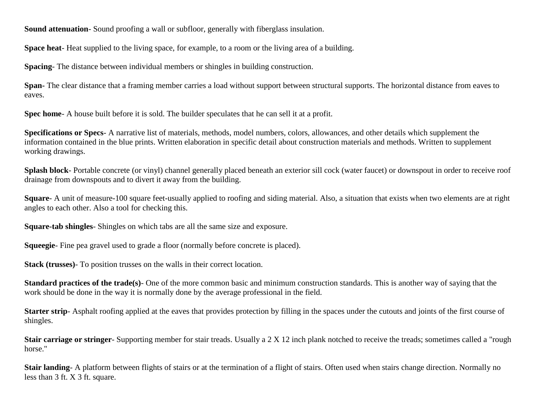**Sound attenuation**- Sound proofing a wall or subfloor, generally with fiberglass insulation.

**Space heat**- Heat supplied to the living space, for example, to a room or the living area of a building.

**Spacing**- The distance between individual members or shingles in building construction.

**Span-** The clear distance that a framing member carries a load without support between structural supports. The horizontal distance from eaves to eaves.

**Spec home**- A house built before it is sold. The builder speculates that he can sell it at a profit.

**Specifications or Specs**- A narrative list of materials, methods, model numbers, colors, allowances, and other details which supplement the information contained in the blue prints. Written elaboration in specific detail about construction materials and methods. Written to supplement working drawings.

**Splash block**- Portable concrete (or vinyl) channel generally placed beneath an exterior sill cock (water faucet) or downspout in order to receive roof drainage from downspouts and to divert it away from the building.

**Square**- A unit of measure-100 square feet-usually applied to roofing and siding material. Also, a situation that exists when two elements are at right angles to each other. Also a tool for checking this.

**Square-tab shingles**- Shingles on which tabs are all the same size and exposure.

**Squeegie**- Fine pea gravel used to grade a floor (normally before concrete is placed).

**Stack (trusses)**- To position trusses on the walls in their correct location.

**Standard practices of the trade(s)**- One of the more common basic and minimum construction standards. This is another way of saying that the work should be done in the way it is normally done by the average professional in the field.

**Starter strip**- Asphalt roofing applied at the eaves that provides protection by filling in the spaces under the cutouts and joints of the first course of shingles.

**Stair carriage or stringer**- Supporting member for stair treads. Usually a 2 X 12 inch plank notched to receive the treads; sometimes called a "rough horse."

**Stair landing**- A platform between flights of stairs or at the termination of a flight of stairs. Often used when stairs change direction. Normally no less than 3 ft. X 3 ft. square.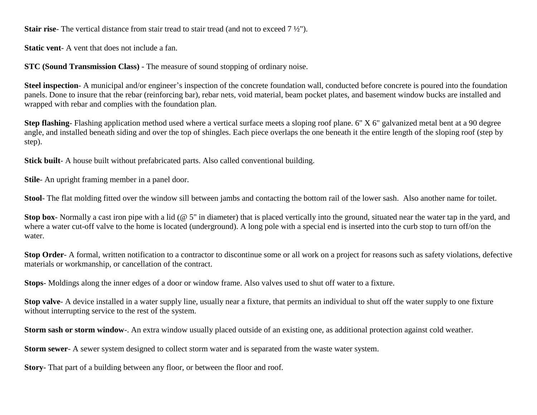**Stair rise**- The vertical distance from stair tread to stair tread (and not to exceed  $7\frac{1}{2}$ ").

**Static vent**- A vent that does not include a fan.

**STC (Sound Transmission Class)** - The measure of sound stopping of ordinary noise.

**Steel inspection**- A municipal and/or engineer's inspection of the concrete foundation wall, conducted before concrete is poured into the foundation panels. Done to insure that the rebar (reinforcing bar), rebar nets, void material, beam pocket plates, and basement window bucks are installed and wrapped with rebar and complies with the foundation plan.

**Step flashing**- Flashing application method used where a vertical surface meets a sloping roof plane. 6" X 6" galvanized metal bent at a 90 degree angle, and installed beneath siding and over the top of shingles. Each piece overlaps the one beneath it the entire length of the sloping roof (step by step).

**Stick built**- A house built without prefabricated parts. Also called conventional building.

**Stile**- An upright framing member in a panel door.

**Stool**- The flat molding fitted over the window sill between jambs and contacting the bottom rail of the lower sash. Also another name for toilet.

**Stop box**- Normally a cast iron pipe with a lid (@ 5" in diameter) that is placed vertically into the ground, situated near the water tap in the yard, and where a water cut-off valve to the home is located (underground). A long pole with a special end is inserted into the curb stop to turn off/on the water.

**Stop Order-** A formal, written notification to a contractor to discontinue some or all work on a project for reasons such as safety violations, defective materials or workmanship, or cancellation of the contract.

**Stops**- Moldings along the inner edges of a door or window frame. Also valves used to shut off water to a fixture.

**Stop valve**- A device installed in a water supply line, usually near a fixture, that permits an individual to shut off the water supply to one fixture without interrupting service to the rest of the system.

**Storm sash or storm window**-. An extra window usually placed outside of an existing one, as additional protection against cold weather.

**Storm sewer**- A sewer system designed to collect storm water and is separated from the waste water system.

**Story**- That part of a building between any floor, or between the floor and roof.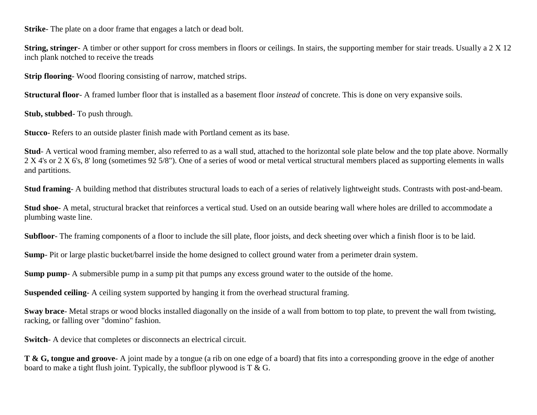**Strike**- The plate on a door frame that engages a latch or dead bolt.

**String, stringer**- A timber or other support for cross members in floors or ceilings. In stairs, the supporting member for stair treads. Usually a 2 X 12 inch plank notched to receive the treads

**Strip flooring**- Wood flooring consisting of narrow, matched strips.

**Structural floor**- A framed lumber floor that is installed as a basement floor *instead* of concrete. This is done on very expansive soils.

**Stub, stubbed**- To push through.

**Stucco**- Refers to an outside plaster finish made with Portland cement as its base.

**Stud**- A vertical wood framing member, also referred to as a wall stud, attached to the horizontal sole plate below and the top plate above. Normally 2 X 4's or 2 X 6's, 8' long (sometimes 92 5/8"). One of a series of wood or metal vertical structural members placed as supporting elements in walls and partitions.

**Stud framing**- A building method that distributes structural loads to each of a series of relatively lightweight studs. Contrasts with post-and-beam.

**Stud shoe**- A metal, structural bracket that reinforces a vertical stud. Used on an outside bearing wall where holes are drilled to accommodate a plumbing waste line.

**Subfloor**- The framing components of a floor to include the sill plate, floor joists, and deck sheeting over which a finish floor is to be laid.

**Sump**- Pit or large plastic bucket/barrel inside the home designed to collect ground water from a perimeter drain system.

**Sump pump**- A submersible pump in a sump pit that pumps any excess ground water to the outside of the home.

**Suspended ceiling**- A ceiling system supported by hanging it from the overhead structural framing.

**Sway brace**- Metal straps or wood blocks installed diagonally on the inside of a wall from bottom to top plate, to prevent the wall from twisting, racking, or falling over "domino" fashion.

**Switch**- A device that completes or disconnects an electrical circuit.

**T & G, tongue and groove**- A joint made by a tongue (a rib on one edge of a board) that fits into a corresponding groove in the edge of another board to make a tight flush joint. Typically, the subfloor plywood is T & G.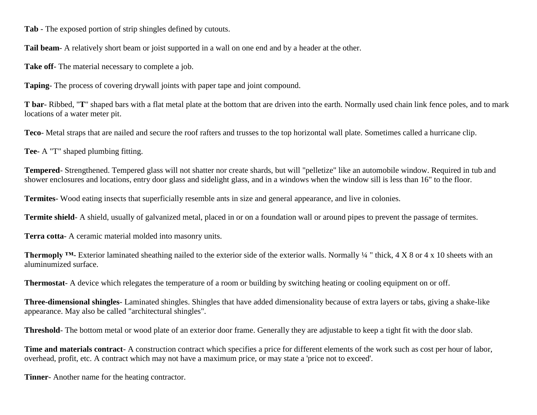**Tab** - The exposed portion of strip shingles defined by cutouts.

**Tail beam**- A relatively short beam or joist supported in a wall on one end and by a header at the other.

**Take off**- The material necessary to complete a job.

**Taping**- The process of covering drywall joints with paper tape and joint compound.

**T bar**- Ribbed, "**T**" shaped bars with a flat metal plate at the bottom that are driven into the earth. Normally used chain link fence poles, and to mark locations of a water meter pit.

**Teco**- Metal straps that are nailed and secure the roof rafters and trusses to the top horizontal wall plate. Sometimes called a hurricane clip.

**Tee**- A "T" shaped plumbing fitting.

**Tempered**- Strengthened. Tempered glass will not shatter nor create shards, but will "pelletize" like an automobile window. Required in tub and shower enclosures and locations, entry door glass and sidelight glass, and in a windows when the window sill is less than 16" to the floor.

**Termites**- Wood eating insects that superficially resemble ants in size and general appearance, and live in colonies.

**Termite shield**- A shield, usually of galvanized metal, placed in or on a foundation wall or around pipes to prevent the passage of termites.

**Terra cotta**- A ceramic material molded into masonry units.

**Thermoply ™**- Exterior laminated sheathing nailed to the exterior side of the exterior walls. Normally ¼ " thick, 4 X 8 or 4 x 10 sheets with an aluminumized surface.

**Thermostat**- A device which relegates the temperature of a room or building by switching heating or cooling equipment on or off.

**Three-dimensional shingles**- Laminated shingles. Shingles that have added dimensionality because of extra layers or tabs, giving a shake-like appearance. May also be called "architectural shingles".

**Threshold**- The bottom metal or wood plate of an exterior door frame. Generally they are adjustable to keep a tight fit with the door slab.

**Time and materials contract**- A construction contract which specifies a price for different elements of the work such as cost per hour of labor, overhead, profit, etc. A contract which may not have a maximum price, or may state a 'price not to exceed'.

**Tinner**- Another name for the heating contractor.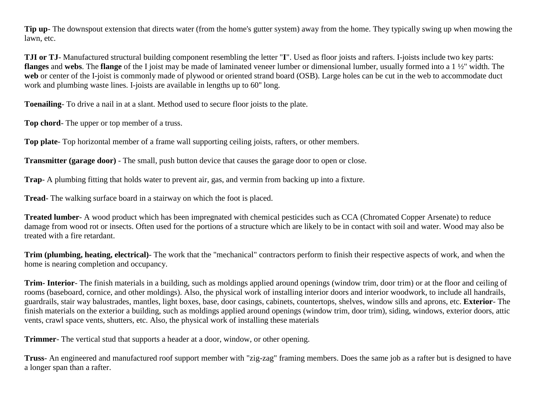**Tip up**- The downspout extension that directs water (from the home's gutter system) away from the home. They typically swing up when mowing the lawn, etc.

**TJI or TJ**- Manufactured structural building component resembling the letter "**I**". Used as floor joists and rafters. I-joists include two key parts: **flanges** and **webs**. The **flange** of the I joist may be made of laminated veneer lumber or dimensional lumber, usually formed into a 1 ½" width. The web or center of the I-joist is commonly made of plywood or oriented strand board (OSB). Large holes can be cut in the web to accommodate duct work and plumbing waste lines. I-joists are available in lengths up to 60'' long.

**Toenailing**- To drive a nail in at a slant. Method used to secure floor joists to the plate.

**Top chord**- The upper or top member of a truss.

**Top plate**- Top horizontal member of a frame wall supporting ceiling joists, rafters, or other members.

**Transmitter (garage door)** - The small, push button device that causes the garage door to open or close.

**Trap**- A plumbing fitting that holds water to prevent air, gas, and vermin from backing up into a fixture.

**Tread**- The walking surface board in a stairway on which the foot is placed.

**Treated lumber**- A wood product which has been impregnated with chemical pesticides such as CCA (Chromated Copper Arsenate) to reduce damage from wood rot or insects. Often used for the portions of a structure which are likely to be in contact with soil and water. Wood may also be treated with a fire retardant.

**Trim (plumbing, heating, electrical)**- The work that the "mechanical" contractors perform to finish their respective aspects of work, and when the home is nearing completion and occupancy.

**Trim- Interior**- The finish materials in a building, such as moldings applied around openings (window trim, door trim) or at the floor and ceiling of rooms (baseboard, cornice, and other moldings). Also, the physical work of installing interior doors and interior woodwork, to include all handrails, guardrails, stair way balustrades, mantles, light boxes, base, door casings, cabinets, countertops, shelves, window sills and aprons, etc. **Exterior**- The finish materials on the exterior a building, such as moldings applied around openings (window trim, door trim), siding, windows, exterior doors, attic vents, crawl space vents, shutters, etc. Also, the physical work of installing these materials

**Trimmer**- The vertical stud that supports a header at a door, window, or other opening.

**Truss**- An engineered and manufactured roof support member with "zig-zag" framing members. Does the same job as a rafter but is designed to have a longer span than a rafter.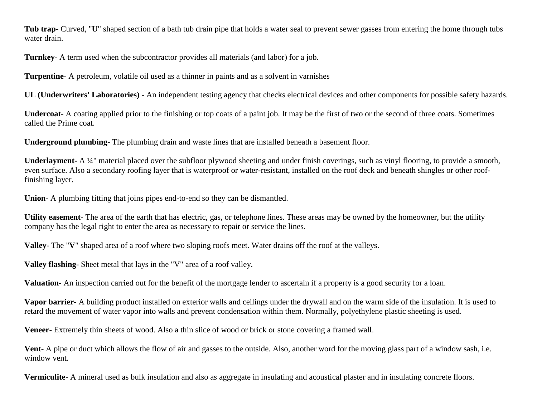**Tub trap**- Curved, "**U**" shaped section of a bath tub drain pipe that holds a water seal to prevent sewer gasses from entering the home through tubs water drain.

**Turnkey**- A term used when the subcontractor provides all materials (and labor) for a job.

**Turpentine**- A petroleum, volatile oil used as a thinner in paints and as a solvent in varnishes

**UL (Underwriters' Laboratories)** - An independent testing agency that checks electrical devices and other components for possible safety hazards.

**Undercoat**- A coating applied prior to the finishing or top coats of a paint job. It may be the first of two or the second of three coats. Sometimes called the Prime coat.

**Underground plumbing**- The plumbing drain and waste lines that are installed beneath a basement floor.

**Underlayment-** A ¼" material placed over the subfloor plywood sheeting and under finish coverings, such as vinyl flooring, to provide a smooth, even surface. Also a secondary roofing layer that is waterproof or water-resistant, installed on the roof deck and beneath shingles or other rooffinishing layer.

**Union**- A plumbing fitting that joins pipes end-to-end so they can be dismantled.

**Utility easement**- The area of the earth that has electric, gas, or telephone lines. These areas may be owned by the homeowner, but the utility company has the legal right to enter the area as necessary to repair or service the lines.

**Valley**- The "**V**" shaped area of a roof where two sloping roofs meet. Water drains off the roof at the valleys.

**Valley flashing**- Sheet metal that lays in the "V" area of a roof valley.

**Valuation**- An inspection carried out for the benefit of the mortgage lender to ascertain if a property is a good security for a loan.

**Vapor barrier**- A building product installed on exterior walls and ceilings under the drywall and on the warm side of the insulation. It is used to retard the movement of water vapor into walls and prevent condensation within them. Normally, polyethylene plastic sheeting is used.

**Veneer**- Extremely thin sheets of wood. Also a thin slice of wood or brick or stone covering a framed wall.

**Vent**- A pipe or duct which allows the flow of air and gasses to the outside. Also, another word for the moving glass part of a window sash, i.e. window vent.

**Vermiculite**- A mineral used as bulk insulation and also as aggregate in insulating and acoustical plaster and in insulating concrete floors.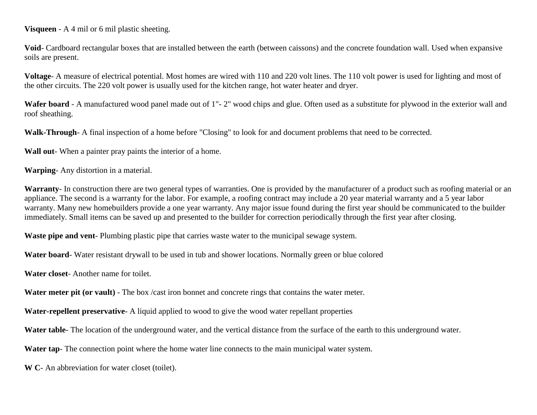**Visqueen** - A 4 mil or 6 mil plastic sheeting.

**Void**- Cardboard rectangular boxes that are installed between the earth (between caissons) and the concrete foundation wall. Used when expansive soils are present.

**Voltage**- A measure of electrical potential. Most homes are wired with 110 and 220 volt lines. The 110 volt power is used for lighting and most of the other circuits. The 220 volt power is usually used for the kitchen range, hot water heater and dryer.

Wafer board - A manufactured wood panel made out of 1"- 2" wood chips and glue. Often used as a substitute for plywood in the exterior wall and roof sheathing.

**Walk-Through**- A final inspection of a home before "Closing" to look for and document problems that need to be corrected.

**Wall out**- When a painter pray paints the interior of a home.

**Warping**- Any distortion in a material.

**Warranty**- In construction there are two general types of warranties. One is provided by the manufacturer of a product such as roofing material or an appliance. The second is a warranty for the labor. For example, a roofing contract may include a 20 year material warranty and a 5 year labor warranty. Many new homebuilders provide a one year warranty. Any major issue found during the first year should be communicated to the builder immediately. Small items can be saved up and presented to the builder for correction periodically through the first year after closing.

**Waste pipe and vent**- Plumbing plastic pipe that carries waste water to the municipal sewage system.

**Water board**- Water resistant drywall to be used in tub and shower locations. Normally green or blue colored

**Water closet**- Another name for toilet.

**Water meter pit (or vault)** - The box /cast iron bonnet and concrete rings that contains the water meter.

**Water-repellent preservative**- A liquid applied to wood to give the wood water repellant properties

**Water table**- The location of the underground water, and the vertical distance from the surface of the earth to this underground water.

**Water tap**- The connection point where the home water line connects to the main municipal water system.

**W C**- An abbreviation for water closet (toilet).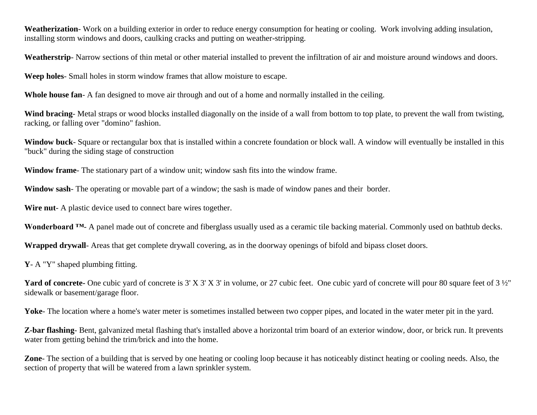**Weatherization**- Work on a building exterior in order to reduce energy consumption for heating or cooling. Work involving adding insulation, installing storm windows and doors, caulking cracks and putting on weather-stripping.

**Weatherstrip**- Narrow sections of thin metal or other material installed to prevent the infiltration of air and moisture around windows and doors.

**Weep holes**- Small holes in storm window frames that allow moisture to escape.

**Whole house fan**- A fan designed to move air through and out of a home and normally installed in the ceiling.

Wind bracing- Metal straps or wood blocks installed diagonally on the inside of a wall from bottom to top plate, to prevent the wall from twisting, racking, or falling over "domino" fashion.

**Window buck**- Square or rectangular box that is installed within a concrete foundation or block wall. A window will eventually be installed in this "buck" during the siding stage of construction

**Window frame**- The stationary part of a window unit; window sash fits into the window frame.

**Window sash**- The operating or movable part of a window; the sash is made of window panes and their border.

**Wire nut**- A plastic device used to connect bare wires together.

**Wonderboard ™**- A panel made out of concrete and fiberglass usually used as a ceramic tile backing material. Commonly used on bathtub decks.

**Wrapped drywall**- Areas that get complete drywall covering, as in the doorway openings of bifold and bipass closet doors.

**Y**- A "Y" shaped plumbing fitting.

**Yard of concrete-** One cubic yard of concrete is 3' X 3' X 3' in volume, or 27 cubic feet. One cubic yard of concrete will pour 80 square feet of 3  $\frac{1}{2}$ " sidewalk or basement/garage floor.

**Yoke**- The location where a home's water meter is sometimes installed between two copper pipes, and located in the water meter pit in the yard.

**Z-bar flashing**- Bent, galvanized metal flashing that's installed above a horizontal trim board of an exterior window, door, or brick run. It prevents water from getting behind the trim/brick and into the home.

**Zone**- The section of a building that is served by one heating or cooling loop because it has noticeably distinct heating or cooling needs. Also, the section of property that will be watered from a lawn sprinkler system.